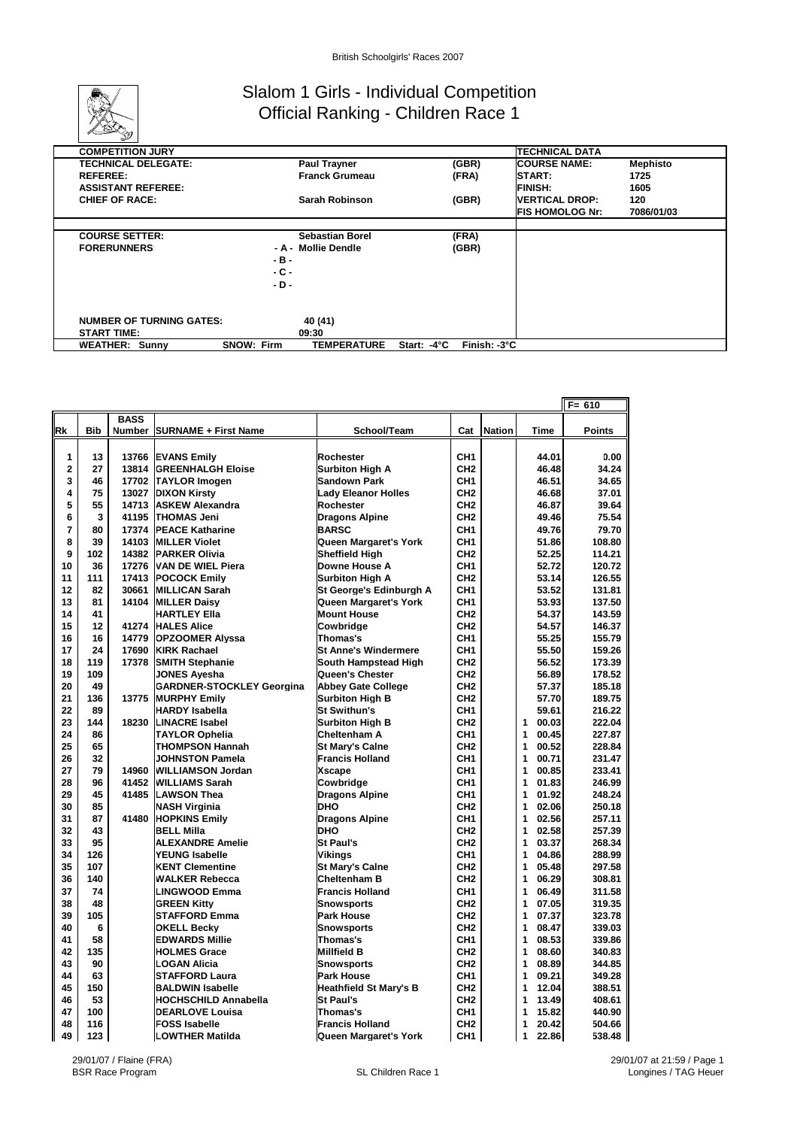

## Slalom 1 Girls - Individual Competition Official Ranking - Children Race 1

| $-$                             |                                         |                                      |                         |                 |
|---------------------------------|-----------------------------------------|--------------------------------------|-------------------------|-----------------|
| <b>COMPETITION JURY</b>         |                                         |                                      | <b>TECHNICAL DATA</b>   |                 |
| <b>TECHNICAL DELEGATE:</b>      | <b>Paul Trayner</b>                     | (GBR)                                | <b>COURSE NAME:</b>     | <b>Mephisto</b> |
| <b>REFEREE:</b>                 | <b>Franck Grumeau</b>                   | (FRA)                                | <b>START:</b>           | 1725            |
| <b>ASSISTANT REFEREE:</b>       |                                         |                                      | <b>FINISH:</b>          | 1605            |
| <b>CHIEF OF RACE:</b>           | Sarah Robinson                          | (GBR)                                | <b>VERTICAL DROP:</b>   | 120             |
|                                 |                                         |                                      | <b>IFIS HOMOLOG Nr:</b> | 7086/01/03      |
|                                 |                                         |                                      |                         |                 |
| <b>COURSE SETTER:</b>           | <b>Sebastian Borel</b>                  | (FRA)                                |                         |                 |
| <b>FORERUNNERS</b>              | - A - Mollie Dendle                     | (GBR)                                |                         |                 |
|                                 | -в-                                     |                                      |                         |                 |
|                                 | - C -                                   |                                      |                         |                 |
|                                 | - D -                                   |                                      |                         |                 |
|                                 |                                         |                                      |                         |                 |
|                                 |                                         |                                      |                         |                 |
| <b>NUMBER OF TURNING GATES:</b> | 40 (41)                                 |                                      |                         |                 |
| <b>START TIME:</b>              | 09:30                                   |                                      |                         |                 |
| <b>WEATHER: Sunny</b>           | <b>SNOW: Firm</b><br><b>TEMPERATURE</b> | Finish: -3°C<br>Start: $-4^{\circ}C$ |                         |                 |

| <b>BASS</b><br><b>Bib</b><br>Rk<br>Number SURNAME + First Name<br>School/Team<br>Cat<br><b>Nation</b><br><b>Time</b><br><b>Points</b><br>1<br>CH <sub>1</sub><br>13<br>13766<br><b>EVANS Emily</b><br>Rochester<br>44.01<br>0.00<br>$\overline{2}$<br>27<br>13814<br>CH <sub>2</sub><br>34.24<br><b>GREENHALGH Eloise</b><br><b>Surbiton High A</b><br>46.48<br>3<br>46<br>17702<br><b>Sandown Park</b><br>CH <sub>1</sub><br>46.51<br>34.65<br><b>TAYLOR Imogen</b><br>4<br>75<br>37.01<br>13027<br><b>DIXON Kirsty</b><br><b>Lady Eleanor Holles</b><br>CH <sub>2</sub><br>46.68<br>5<br>55<br>14713<br><b>ASKEW Alexandra</b><br>Rochester<br>CH <sub>2</sub><br>46.87<br>39.64<br>6<br>3<br>41195<br>75.54<br><b>THOMAS Jeni</b><br><b>Dragons Alpine</b><br>CH <sub>2</sub><br>49.46<br>$\overline{7}$<br>80<br>79.70<br>17374<br><b>PEACE Katharine</b><br><b>BARSC</b><br>CH <sub>1</sub><br>49.76<br>8<br>39<br>14103<br><b>MILLER Violet</b><br>CH <sub>1</sub><br>51.86<br>108.80<br>Queen Margaret's York<br>9<br>102<br>14382<br><b>Sheffield High</b><br>CH <sub>2</sub><br>52.25<br>114.21<br><b>PARKER Olivia</b><br>10<br>17276<br><b>VAN DE WIEL Piera</b><br>CH <sub>1</sub><br>52.72<br>120.72<br>36<br>Downe House A<br>17413<br>126.55<br>11<br>111<br><b>POCOCK Emily</b><br><b>Surbiton High A</b><br>CH <sub>2</sub><br>53.14<br>12<br>82<br>30661<br>53.52<br>131.81<br><b>MILLICAN Sarah</b><br>St George's Edinburgh A<br>CH1<br>13<br>14104<br>CH <sub>1</sub><br>53.93<br>81<br><b>MILLER Daisy</b><br>Queen Margaret's York<br>137.50<br>14<br>CH <sub>2</sub><br>54.37<br>143.59<br>41<br><b>HARTLEY Ella</b><br><b>Mount House</b><br>15<br>12<br>41274<br>CH <sub>2</sub><br>54.57<br>146.37<br><b>HALES Alice</b><br>Cowbridge<br>16<br>16<br>14779<br><b>OPZOOMER Alyssa</b><br>Thomas's<br>CH <sub>1</sub><br>55.25<br>155.79<br>17<br>17690<br>CH <sub>1</sub><br>159.26<br>24<br><b>KIRK Rachael</b><br><b>St Anne's Windermere</b><br>55.50<br>119<br>CH <sub>2</sub><br>173.39<br>18<br>17378<br><b>SMITH Stephanie</b><br>South Hampstead High<br>56.52<br>19<br>109<br>56.89<br>178.52<br><b>JONES Ayesha</b><br>Queen's Chester<br>CH <sub>2</sub><br>20<br>49<br><b>GARDNER-STOCKLEY Georgina</b><br><b>Abbey Gate College</b><br>CH <sub>2</sub><br>57.37<br>185.18<br>21<br>136<br>13775<br>CH <sub>2</sub><br>57.70<br>189.75<br><b>MURPHY Emily</b><br><b>Surbiton High B</b><br>22<br>89<br>216.22<br><b>HARDY Isabella</b><br><b>St Swithun's</b><br>CH <sub>1</sub><br>59.61<br>23<br>144<br>18230<br><b>LINACRE Isabel</b><br><b>Surbiton High B</b><br>CH <sub>2</sub><br>1<br>00.03<br>222.04<br>24<br>86<br><b>TAYLOR Ophelia</b><br>Cheltenham A<br>CH1<br>1<br>00.45<br>227.87<br>25<br>65<br><b>THOMPSON Hannah</b><br>CH <sub>2</sub><br>1<br>00.52<br>228.84<br><b>St Marv's Calne</b><br>26<br>32<br>CH <sub>1</sub><br>00.71<br>231.47<br>JOHNSTON Pamela<br><b>Francis Holland</b><br>1<br>00.85<br>27<br>79<br>14960<br><b>WILLIAMSON Jordan</b><br><b>Xscape</b><br>CH <sub>1</sub><br>1<br>233.41<br>28<br>41452<br><b>WILLIAMS Sarah</b><br>CH <sub>1</sub><br>1<br>01.83<br>246.99<br>96<br>Cowbridge<br>29<br>45<br>41485<br><b>LAWSON Thea</b><br><b>Dragons Alpine</b><br>CH <sub>1</sub><br>1<br>01.92<br>248.24<br>30<br>85<br><b>DHO</b><br>CH <sub>2</sub><br>1<br>02.06<br>250.18<br><b>NASH Virginia</b><br>87<br>CH <sub>1</sub><br>02.56<br>31<br>41480<br><b>HOPKINS Emily</b><br><b>Dragons Alpine</b><br>1<br>257.11<br>257.39<br>32<br>43<br><b>DHO</b><br>CH <sub>2</sub><br>02.58<br><b>BELL Milla</b><br>1<br>33<br>95<br><b>St Paul's</b><br>CH <sub>2</sub><br>1<br>03.37<br>268.34<br><b>ALEXANDRE Amelie</b><br>34<br>126<br><b>YEUNG Isabelle</b><br><b>Vikings</b><br>CH <sub>1</sub><br>1<br>04.86<br>288.99<br>35<br>107<br>CH <sub>2</sub><br>1<br>05.48<br>297.58<br><b>KENT Clementine</b><br><b>St Mary's Calne</b><br>06.29<br>36<br>140<br><b>WALKER Rebecca</b><br><b>Cheltenham B</b><br>CH <sub>2</sub><br>1<br>308.81<br>37<br>06.49<br>311.58<br>74<br><b>LINGWOOD Emma</b><br><b>Francis Holland</b><br>CH1<br>1<br>38<br>48<br>CH <sub>2</sub><br>1<br>07.05<br><b>GREEN Kitty</b><br><b>Snowsports</b><br>319.35<br>39<br>105<br>CH <sub>2</sub><br>1<br>07.37<br>323.78<br><b>STAFFORD Emma</b><br><b>Park House</b><br>6<br>1<br>40<br>CH <sub>2</sub><br>08.47<br>339.03<br><b>OKELL Becky</b><br><b>Snowsports</b><br>41<br>58<br>CH <sub>1</sub><br>1<br>08.53<br>339.86<br><b>EDWARDS Millie</b><br>Thomas's<br>42<br>135<br><b>HOLMES Grace</b><br><b>Millfield B</b><br>CH <sub>2</sub><br>1<br>08.60<br>340.83<br>43<br>1<br>08.89<br>90<br><b>Snowsports</b><br>CH <sub>2</sub><br>344.85<br><b>LOGAN Alicia</b><br>44<br>09.21<br>63<br><b>STAFFORD Laura</b><br><b>Park House</b><br>CH1<br>1<br>349.28<br>45<br>150<br>CH <sub>2</sub><br>1<br>12.04<br>388.51<br><b>BALDWIN Isabelle</b><br><b>Heathfield St Mary's B</b><br>46<br>53<br><b>St Paul's</b><br>CH <sub>2</sub><br>13.49<br><b>HOCHSCHILD Annabella</b><br>1<br>408.61<br>47<br>100<br><b>DEARLOVE Louisa</b><br>Thomas's<br>CH <sub>1</sub><br>15.82<br>440.90<br>1<br>116<br>48<br><b>FOSS Isabelle</b><br><b>Francis Holland</b><br>CH <sub>2</sub><br>1<br>20.42<br>504.66 |    |     |                        |                       |                 |            | $F = 610$ |
|-----------------------------------------------------------------------------------------------------------------------------------------------------------------------------------------------------------------------------------------------------------------------------------------------------------------------------------------------------------------------------------------------------------------------------------------------------------------------------------------------------------------------------------------------------------------------------------------------------------------------------------------------------------------------------------------------------------------------------------------------------------------------------------------------------------------------------------------------------------------------------------------------------------------------------------------------------------------------------------------------------------------------------------------------------------------------------------------------------------------------------------------------------------------------------------------------------------------------------------------------------------------------------------------------------------------------------------------------------------------------------------------------------------------------------------------------------------------------------------------------------------------------------------------------------------------------------------------------------------------------------------------------------------------------------------------------------------------------------------------------------------------------------------------------------------------------------------------------------------------------------------------------------------------------------------------------------------------------------------------------------------------------------------------------------------------------------------------------------------------------------------------------------------------------------------------------------------------------------------------------------------------------------------------------------------------------------------------------------------------------------------------------------------------------------------------------------------------------------------------------------------------------------------------------------------------------------------------------------------------------------------------------------------------------------------------------------------------------------------------------------------------------------------------------------------------------------------------------------------------------------------------------------------------------------------------------------------------------------------------------------------------------------------------------------------------------------------------------------------------------------------------------------------------------------------------------------------------------------------------------------------------------------------------------------------------------------------------------------------------------------------------------------------------------------------------------------------------------------------------------------------------------------------------------------------------------------------------------------------------------------------------------------------------------------------------------------------------------------------------------------------------------------------------------------------------------------------------------------------------------------------------------------------------------------------------------------------------------------------------------------------------------------------------------------------------------------------------------------------------------------------------------------------------------------------------------------------------------------------------------------------------------------------------------------------------------------------------------------------------------------------------------------------------------------------------------------------------------------------------------------------------------------------------------------------------------------------------------------------------------------------------------------------------------------------------------------------------------------------------------------------------------------------------------------------------------------------------------------------------------------------------------------------------------------------------------------------------------------------------------------------------------------------------------------------------------------------------------------------------------------------------------------------------------------------------------------------------------------------------------------------------------|----|-----|------------------------|-----------------------|-----------------|------------|-----------|
|                                                                                                                                                                                                                                                                                                                                                                                                                                                                                                                                                                                                                                                                                                                                                                                                                                                                                                                                                                                                                                                                                                                                                                                                                                                                                                                                                                                                                                                                                                                                                                                                                                                                                                                                                                                                                                                                                                                                                                                                                                                                                                                                                                                                                                                                                                                                                                                                                                                                                                                                                                                                                                                                                                                                                                                                                                                                                                                                                                                                                                                                                                                                                                                                                                                                                                                                                                                                                                                                                                                                                                                                                                                                                                                                                                                                                                                                                                                                                                                                                                                                                                                                                                                                                                                                                                                                                                                                                                                                                                                                                                                                                                                                                                                                                                                                                                                                                                                                                                                                                                                                                                                                                                                                                                                                       |    |     |                        |                       |                 |            |           |
|                                                                                                                                                                                                                                                                                                                                                                                                                                                                                                                                                                                                                                                                                                                                                                                                                                                                                                                                                                                                                                                                                                                                                                                                                                                                                                                                                                                                                                                                                                                                                                                                                                                                                                                                                                                                                                                                                                                                                                                                                                                                                                                                                                                                                                                                                                                                                                                                                                                                                                                                                                                                                                                                                                                                                                                                                                                                                                                                                                                                                                                                                                                                                                                                                                                                                                                                                                                                                                                                                                                                                                                                                                                                                                                                                                                                                                                                                                                                                                                                                                                                                                                                                                                                                                                                                                                                                                                                                                                                                                                                                                                                                                                                                                                                                                                                                                                                                                                                                                                                                                                                                                                                                                                                                                                                       |    |     |                        |                       |                 |            |           |
|                                                                                                                                                                                                                                                                                                                                                                                                                                                                                                                                                                                                                                                                                                                                                                                                                                                                                                                                                                                                                                                                                                                                                                                                                                                                                                                                                                                                                                                                                                                                                                                                                                                                                                                                                                                                                                                                                                                                                                                                                                                                                                                                                                                                                                                                                                                                                                                                                                                                                                                                                                                                                                                                                                                                                                                                                                                                                                                                                                                                                                                                                                                                                                                                                                                                                                                                                                                                                                                                                                                                                                                                                                                                                                                                                                                                                                                                                                                                                                                                                                                                                                                                                                                                                                                                                                                                                                                                                                                                                                                                                                                                                                                                                                                                                                                                                                                                                                                                                                                                                                                                                                                                                                                                                                                                       |    |     |                        |                       |                 |            |           |
|                                                                                                                                                                                                                                                                                                                                                                                                                                                                                                                                                                                                                                                                                                                                                                                                                                                                                                                                                                                                                                                                                                                                                                                                                                                                                                                                                                                                                                                                                                                                                                                                                                                                                                                                                                                                                                                                                                                                                                                                                                                                                                                                                                                                                                                                                                                                                                                                                                                                                                                                                                                                                                                                                                                                                                                                                                                                                                                                                                                                                                                                                                                                                                                                                                                                                                                                                                                                                                                                                                                                                                                                                                                                                                                                                                                                                                                                                                                                                                                                                                                                                                                                                                                                                                                                                                                                                                                                                                                                                                                                                                                                                                                                                                                                                                                                                                                                                                                                                                                                                                                                                                                                                                                                                                                                       |    |     |                        |                       |                 |            |           |
|                                                                                                                                                                                                                                                                                                                                                                                                                                                                                                                                                                                                                                                                                                                                                                                                                                                                                                                                                                                                                                                                                                                                                                                                                                                                                                                                                                                                                                                                                                                                                                                                                                                                                                                                                                                                                                                                                                                                                                                                                                                                                                                                                                                                                                                                                                                                                                                                                                                                                                                                                                                                                                                                                                                                                                                                                                                                                                                                                                                                                                                                                                                                                                                                                                                                                                                                                                                                                                                                                                                                                                                                                                                                                                                                                                                                                                                                                                                                                                                                                                                                                                                                                                                                                                                                                                                                                                                                                                                                                                                                                                                                                                                                                                                                                                                                                                                                                                                                                                                                                                                                                                                                                                                                                                                                       |    |     |                        |                       |                 |            |           |
|                                                                                                                                                                                                                                                                                                                                                                                                                                                                                                                                                                                                                                                                                                                                                                                                                                                                                                                                                                                                                                                                                                                                                                                                                                                                                                                                                                                                                                                                                                                                                                                                                                                                                                                                                                                                                                                                                                                                                                                                                                                                                                                                                                                                                                                                                                                                                                                                                                                                                                                                                                                                                                                                                                                                                                                                                                                                                                                                                                                                                                                                                                                                                                                                                                                                                                                                                                                                                                                                                                                                                                                                                                                                                                                                                                                                                                                                                                                                                                                                                                                                                                                                                                                                                                                                                                                                                                                                                                                                                                                                                                                                                                                                                                                                                                                                                                                                                                                                                                                                                                                                                                                                                                                                                                                                       |    |     |                        |                       |                 |            |           |
|                                                                                                                                                                                                                                                                                                                                                                                                                                                                                                                                                                                                                                                                                                                                                                                                                                                                                                                                                                                                                                                                                                                                                                                                                                                                                                                                                                                                                                                                                                                                                                                                                                                                                                                                                                                                                                                                                                                                                                                                                                                                                                                                                                                                                                                                                                                                                                                                                                                                                                                                                                                                                                                                                                                                                                                                                                                                                                                                                                                                                                                                                                                                                                                                                                                                                                                                                                                                                                                                                                                                                                                                                                                                                                                                                                                                                                                                                                                                                                                                                                                                                                                                                                                                                                                                                                                                                                                                                                                                                                                                                                                                                                                                                                                                                                                                                                                                                                                                                                                                                                                                                                                                                                                                                                                                       |    |     |                        |                       |                 |            |           |
|                                                                                                                                                                                                                                                                                                                                                                                                                                                                                                                                                                                                                                                                                                                                                                                                                                                                                                                                                                                                                                                                                                                                                                                                                                                                                                                                                                                                                                                                                                                                                                                                                                                                                                                                                                                                                                                                                                                                                                                                                                                                                                                                                                                                                                                                                                                                                                                                                                                                                                                                                                                                                                                                                                                                                                                                                                                                                                                                                                                                                                                                                                                                                                                                                                                                                                                                                                                                                                                                                                                                                                                                                                                                                                                                                                                                                                                                                                                                                                                                                                                                                                                                                                                                                                                                                                                                                                                                                                                                                                                                                                                                                                                                                                                                                                                                                                                                                                                                                                                                                                                                                                                                                                                                                                                                       |    |     |                        |                       |                 |            |           |
|                                                                                                                                                                                                                                                                                                                                                                                                                                                                                                                                                                                                                                                                                                                                                                                                                                                                                                                                                                                                                                                                                                                                                                                                                                                                                                                                                                                                                                                                                                                                                                                                                                                                                                                                                                                                                                                                                                                                                                                                                                                                                                                                                                                                                                                                                                                                                                                                                                                                                                                                                                                                                                                                                                                                                                                                                                                                                                                                                                                                                                                                                                                                                                                                                                                                                                                                                                                                                                                                                                                                                                                                                                                                                                                                                                                                                                                                                                                                                                                                                                                                                                                                                                                                                                                                                                                                                                                                                                                                                                                                                                                                                                                                                                                                                                                                                                                                                                                                                                                                                                                                                                                                                                                                                                                                       |    |     |                        |                       |                 |            |           |
|                                                                                                                                                                                                                                                                                                                                                                                                                                                                                                                                                                                                                                                                                                                                                                                                                                                                                                                                                                                                                                                                                                                                                                                                                                                                                                                                                                                                                                                                                                                                                                                                                                                                                                                                                                                                                                                                                                                                                                                                                                                                                                                                                                                                                                                                                                                                                                                                                                                                                                                                                                                                                                                                                                                                                                                                                                                                                                                                                                                                                                                                                                                                                                                                                                                                                                                                                                                                                                                                                                                                                                                                                                                                                                                                                                                                                                                                                                                                                                                                                                                                                                                                                                                                                                                                                                                                                                                                                                                                                                                                                                                                                                                                                                                                                                                                                                                                                                                                                                                                                                                                                                                                                                                                                                                                       |    |     |                        |                       |                 |            |           |
|                                                                                                                                                                                                                                                                                                                                                                                                                                                                                                                                                                                                                                                                                                                                                                                                                                                                                                                                                                                                                                                                                                                                                                                                                                                                                                                                                                                                                                                                                                                                                                                                                                                                                                                                                                                                                                                                                                                                                                                                                                                                                                                                                                                                                                                                                                                                                                                                                                                                                                                                                                                                                                                                                                                                                                                                                                                                                                                                                                                                                                                                                                                                                                                                                                                                                                                                                                                                                                                                                                                                                                                                                                                                                                                                                                                                                                                                                                                                                                                                                                                                                                                                                                                                                                                                                                                                                                                                                                                                                                                                                                                                                                                                                                                                                                                                                                                                                                                                                                                                                                                                                                                                                                                                                                                                       |    |     |                        |                       |                 |            |           |
|                                                                                                                                                                                                                                                                                                                                                                                                                                                                                                                                                                                                                                                                                                                                                                                                                                                                                                                                                                                                                                                                                                                                                                                                                                                                                                                                                                                                                                                                                                                                                                                                                                                                                                                                                                                                                                                                                                                                                                                                                                                                                                                                                                                                                                                                                                                                                                                                                                                                                                                                                                                                                                                                                                                                                                                                                                                                                                                                                                                                                                                                                                                                                                                                                                                                                                                                                                                                                                                                                                                                                                                                                                                                                                                                                                                                                                                                                                                                                                                                                                                                                                                                                                                                                                                                                                                                                                                                                                                                                                                                                                                                                                                                                                                                                                                                                                                                                                                                                                                                                                                                                                                                                                                                                                                                       |    |     |                        |                       |                 |            |           |
|                                                                                                                                                                                                                                                                                                                                                                                                                                                                                                                                                                                                                                                                                                                                                                                                                                                                                                                                                                                                                                                                                                                                                                                                                                                                                                                                                                                                                                                                                                                                                                                                                                                                                                                                                                                                                                                                                                                                                                                                                                                                                                                                                                                                                                                                                                                                                                                                                                                                                                                                                                                                                                                                                                                                                                                                                                                                                                                                                                                                                                                                                                                                                                                                                                                                                                                                                                                                                                                                                                                                                                                                                                                                                                                                                                                                                                                                                                                                                                                                                                                                                                                                                                                                                                                                                                                                                                                                                                                                                                                                                                                                                                                                                                                                                                                                                                                                                                                                                                                                                                                                                                                                                                                                                                                                       |    |     |                        |                       |                 |            |           |
|                                                                                                                                                                                                                                                                                                                                                                                                                                                                                                                                                                                                                                                                                                                                                                                                                                                                                                                                                                                                                                                                                                                                                                                                                                                                                                                                                                                                                                                                                                                                                                                                                                                                                                                                                                                                                                                                                                                                                                                                                                                                                                                                                                                                                                                                                                                                                                                                                                                                                                                                                                                                                                                                                                                                                                                                                                                                                                                                                                                                                                                                                                                                                                                                                                                                                                                                                                                                                                                                                                                                                                                                                                                                                                                                                                                                                                                                                                                                                                                                                                                                                                                                                                                                                                                                                                                                                                                                                                                                                                                                                                                                                                                                                                                                                                                                                                                                                                                                                                                                                                                                                                                                                                                                                                                                       |    |     |                        |                       |                 |            |           |
|                                                                                                                                                                                                                                                                                                                                                                                                                                                                                                                                                                                                                                                                                                                                                                                                                                                                                                                                                                                                                                                                                                                                                                                                                                                                                                                                                                                                                                                                                                                                                                                                                                                                                                                                                                                                                                                                                                                                                                                                                                                                                                                                                                                                                                                                                                                                                                                                                                                                                                                                                                                                                                                                                                                                                                                                                                                                                                                                                                                                                                                                                                                                                                                                                                                                                                                                                                                                                                                                                                                                                                                                                                                                                                                                                                                                                                                                                                                                                                                                                                                                                                                                                                                                                                                                                                                                                                                                                                                                                                                                                                                                                                                                                                                                                                                                                                                                                                                                                                                                                                                                                                                                                                                                                                                                       |    |     |                        |                       |                 |            |           |
|                                                                                                                                                                                                                                                                                                                                                                                                                                                                                                                                                                                                                                                                                                                                                                                                                                                                                                                                                                                                                                                                                                                                                                                                                                                                                                                                                                                                                                                                                                                                                                                                                                                                                                                                                                                                                                                                                                                                                                                                                                                                                                                                                                                                                                                                                                                                                                                                                                                                                                                                                                                                                                                                                                                                                                                                                                                                                                                                                                                                                                                                                                                                                                                                                                                                                                                                                                                                                                                                                                                                                                                                                                                                                                                                                                                                                                                                                                                                                                                                                                                                                                                                                                                                                                                                                                                                                                                                                                                                                                                                                                                                                                                                                                                                                                                                                                                                                                                                                                                                                                                                                                                                                                                                                                                                       |    |     |                        |                       |                 |            |           |
|                                                                                                                                                                                                                                                                                                                                                                                                                                                                                                                                                                                                                                                                                                                                                                                                                                                                                                                                                                                                                                                                                                                                                                                                                                                                                                                                                                                                                                                                                                                                                                                                                                                                                                                                                                                                                                                                                                                                                                                                                                                                                                                                                                                                                                                                                                                                                                                                                                                                                                                                                                                                                                                                                                                                                                                                                                                                                                                                                                                                                                                                                                                                                                                                                                                                                                                                                                                                                                                                                                                                                                                                                                                                                                                                                                                                                                                                                                                                                                                                                                                                                                                                                                                                                                                                                                                                                                                                                                                                                                                                                                                                                                                                                                                                                                                                                                                                                                                                                                                                                                                                                                                                                                                                                                                                       |    |     |                        |                       |                 |            |           |
|                                                                                                                                                                                                                                                                                                                                                                                                                                                                                                                                                                                                                                                                                                                                                                                                                                                                                                                                                                                                                                                                                                                                                                                                                                                                                                                                                                                                                                                                                                                                                                                                                                                                                                                                                                                                                                                                                                                                                                                                                                                                                                                                                                                                                                                                                                                                                                                                                                                                                                                                                                                                                                                                                                                                                                                                                                                                                                                                                                                                                                                                                                                                                                                                                                                                                                                                                                                                                                                                                                                                                                                                                                                                                                                                                                                                                                                                                                                                                                                                                                                                                                                                                                                                                                                                                                                                                                                                                                                                                                                                                                                                                                                                                                                                                                                                                                                                                                                                                                                                                                                                                                                                                                                                                                                                       |    |     |                        |                       |                 |            |           |
|                                                                                                                                                                                                                                                                                                                                                                                                                                                                                                                                                                                                                                                                                                                                                                                                                                                                                                                                                                                                                                                                                                                                                                                                                                                                                                                                                                                                                                                                                                                                                                                                                                                                                                                                                                                                                                                                                                                                                                                                                                                                                                                                                                                                                                                                                                                                                                                                                                                                                                                                                                                                                                                                                                                                                                                                                                                                                                                                                                                                                                                                                                                                                                                                                                                                                                                                                                                                                                                                                                                                                                                                                                                                                                                                                                                                                                                                                                                                                                                                                                                                                                                                                                                                                                                                                                                                                                                                                                                                                                                                                                                                                                                                                                                                                                                                                                                                                                                                                                                                                                                                                                                                                                                                                                                                       |    |     |                        |                       |                 |            |           |
|                                                                                                                                                                                                                                                                                                                                                                                                                                                                                                                                                                                                                                                                                                                                                                                                                                                                                                                                                                                                                                                                                                                                                                                                                                                                                                                                                                                                                                                                                                                                                                                                                                                                                                                                                                                                                                                                                                                                                                                                                                                                                                                                                                                                                                                                                                                                                                                                                                                                                                                                                                                                                                                                                                                                                                                                                                                                                                                                                                                                                                                                                                                                                                                                                                                                                                                                                                                                                                                                                                                                                                                                                                                                                                                                                                                                                                                                                                                                                                                                                                                                                                                                                                                                                                                                                                                                                                                                                                                                                                                                                                                                                                                                                                                                                                                                                                                                                                                                                                                                                                                                                                                                                                                                                                                                       |    |     |                        |                       |                 |            |           |
|                                                                                                                                                                                                                                                                                                                                                                                                                                                                                                                                                                                                                                                                                                                                                                                                                                                                                                                                                                                                                                                                                                                                                                                                                                                                                                                                                                                                                                                                                                                                                                                                                                                                                                                                                                                                                                                                                                                                                                                                                                                                                                                                                                                                                                                                                                                                                                                                                                                                                                                                                                                                                                                                                                                                                                                                                                                                                                                                                                                                                                                                                                                                                                                                                                                                                                                                                                                                                                                                                                                                                                                                                                                                                                                                                                                                                                                                                                                                                                                                                                                                                                                                                                                                                                                                                                                                                                                                                                                                                                                                                                                                                                                                                                                                                                                                                                                                                                                                                                                                                                                                                                                                                                                                                                                                       |    |     |                        |                       |                 |            |           |
|                                                                                                                                                                                                                                                                                                                                                                                                                                                                                                                                                                                                                                                                                                                                                                                                                                                                                                                                                                                                                                                                                                                                                                                                                                                                                                                                                                                                                                                                                                                                                                                                                                                                                                                                                                                                                                                                                                                                                                                                                                                                                                                                                                                                                                                                                                                                                                                                                                                                                                                                                                                                                                                                                                                                                                                                                                                                                                                                                                                                                                                                                                                                                                                                                                                                                                                                                                                                                                                                                                                                                                                                                                                                                                                                                                                                                                                                                                                                                                                                                                                                                                                                                                                                                                                                                                                                                                                                                                                                                                                                                                                                                                                                                                                                                                                                                                                                                                                                                                                                                                                                                                                                                                                                                                                                       |    |     |                        |                       |                 |            |           |
|                                                                                                                                                                                                                                                                                                                                                                                                                                                                                                                                                                                                                                                                                                                                                                                                                                                                                                                                                                                                                                                                                                                                                                                                                                                                                                                                                                                                                                                                                                                                                                                                                                                                                                                                                                                                                                                                                                                                                                                                                                                                                                                                                                                                                                                                                                                                                                                                                                                                                                                                                                                                                                                                                                                                                                                                                                                                                                                                                                                                                                                                                                                                                                                                                                                                                                                                                                                                                                                                                                                                                                                                                                                                                                                                                                                                                                                                                                                                                                                                                                                                                                                                                                                                                                                                                                                                                                                                                                                                                                                                                                                                                                                                                                                                                                                                                                                                                                                                                                                                                                                                                                                                                                                                                                                                       |    |     |                        |                       |                 |            |           |
|                                                                                                                                                                                                                                                                                                                                                                                                                                                                                                                                                                                                                                                                                                                                                                                                                                                                                                                                                                                                                                                                                                                                                                                                                                                                                                                                                                                                                                                                                                                                                                                                                                                                                                                                                                                                                                                                                                                                                                                                                                                                                                                                                                                                                                                                                                                                                                                                                                                                                                                                                                                                                                                                                                                                                                                                                                                                                                                                                                                                                                                                                                                                                                                                                                                                                                                                                                                                                                                                                                                                                                                                                                                                                                                                                                                                                                                                                                                                                                                                                                                                                                                                                                                                                                                                                                                                                                                                                                                                                                                                                                                                                                                                                                                                                                                                                                                                                                                                                                                                                                                                                                                                                                                                                                                                       |    |     |                        |                       |                 |            |           |
|                                                                                                                                                                                                                                                                                                                                                                                                                                                                                                                                                                                                                                                                                                                                                                                                                                                                                                                                                                                                                                                                                                                                                                                                                                                                                                                                                                                                                                                                                                                                                                                                                                                                                                                                                                                                                                                                                                                                                                                                                                                                                                                                                                                                                                                                                                                                                                                                                                                                                                                                                                                                                                                                                                                                                                                                                                                                                                                                                                                                                                                                                                                                                                                                                                                                                                                                                                                                                                                                                                                                                                                                                                                                                                                                                                                                                                                                                                                                                                                                                                                                                                                                                                                                                                                                                                                                                                                                                                                                                                                                                                                                                                                                                                                                                                                                                                                                                                                                                                                                                                                                                                                                                                                                                                                                       |    |     |                        |                       |                 |            |           |
|                                                                                                                                                                                                                                                                                                                                                                                                                                                                                                                                                                                                                                                                                                                                                                                                                                                                                                                                                                                                                                                                                                                                                                                                                                                                                                                                                                                                                                                                                                                                                                                                                                                                                                                                                                                                                                                                                                                                                                                                                                                                                                                                                                                                                                                                                                                                                                                                                                                                                                                                                                                                                                                                                                                                                                                                                                                                                                                                                                                                                                                                                                                                                                                                                                                                                                                                                                                                                                                                                                                                                                                                                                                                                                                                                                                                                                                                                                                                                                                                                                                                                                                                                                                                                                                                                                                                                                                                                                                                                                                                                                                                                                                                                                                                                                                                                                                                                                                                                                                                                                                                                                                                                                                                                                                                       |    |     |                        |                       |                 |            |           |
|                                                                                                                                                                                                                                                                                                                                                                                                                                                                                                                                                                                                                                                                                                                                                                                                                                                                                                                                                                                                                                                                                                                                                                                                                                                                                                                                                                                                                                                                                                                                                                                                                                                                                                                                                                                                                                                                                                                                                                                                                                                                                                                                                                                                                                                                                                                                                                                                                                                                                                                                                                                                                                                                                                                                                                                                                                                                                                                                                                                                                                                                                                                                                                                                                                                                                                                                                                                                                                                                                                                                                                                                                                                                                                                                                                                                                                                                                                                                                                                                                                                                                                                                                                                                                                                                                                                                                                                                                                                                                                                                                                                                                                                                                                                                                                                                                                                                                                                                                                                                                                                                                                                                                                                                                                                                       |    |     |                        |                       |                 |            |           |
|                                                                                                                                                                                                                                                                                                                                                                                                                                                                                                                                                                                                                                                                                                                                                                                                                                                                                                                                                                                                                                                                                                                                                                                                                                                                                                                                                                                                                                                                                                                                                                                                                                                                                                                                                                                                                                                                                                                                                                                                                                                                                                                                                                                                                                                                                                                                                                                                                                                                                                                                                                                                                                                                                                                                                                                                                                                                                                                                                                                                                                                                                                                                                                                                                                                                                                                                                                                                                                                                                                                                                                                                                                                                                                                                                                                                                                                                                                                                                                                                                                                                                                                                                                                                                                                                                                                                                                                                                                                                                                                                                                                                                                                                                                                                                                                                                                                                                                                                                                                                                                                                                                                                                                                                                                                                       |    |     |                        |                       |                 |            |           |
|                                                                                                                                                                                                                                                                                                                                                                                                                                                                                                                                                                                                                                                                                                                                                                                                                                                                                                                                                                                                                                                                                                                                                                                                                                                                                                                                                                                                                                                                                                                                                                                                                                                                                                                                                                                                                                                                                                                                                                                                                                                                                                                                                                                                                                                                                                                                                                                                                                                                                                                                                                                                                                                                                                                                                                                                                                                                                                                                                                                                                                                                                                                                                                                                                                                                                                                                                                                                                                                                                                                                                                                                                                                                                                                                                                                                                                                                                                                                                                                                                                                                                                                                                                                                                                                                                                                                                                                                                                                                                                                                                                                                                                                                                                                                                                                                                                                                                                                                                                                                                                                                                                                                                                                                                                                                       |    |     |                        |                       |                 |            |           |
|                                                                                                                                                                                                                                                                                                                                                                                                                                                                                                                                                                                                                                                                                                                                                                                                                                                                                                                                                                                                                                                                                                                                                                                                                                                                                                                                                                                                                                                                                                                                                                                                                                                                                                                                                                                                                                                                                                                                                                                                                                                                                                                                                                                                                                                                                                                                                                                                                                                                                                                                                                                                                                                                                                                                                                                                                                                                                                                                                                                                                                                                                                                                                                                                                                                                                                                                                                                                                                                                                                                                                                                                                                                                                                                                                                                                                                                                                                                                                                                                                                                                                                                                                                                                                                                                                                                                                                                                                                                                                                                                                                                                                                                                                                                                                                                                                                                                                                                                                                                                                                                                                                                                                                                                                                                                       |    |     |                        |                       |                 |            |           |
|                                                                                                                                                                                                                                                                                                                                                                                                                                                                                                                                                                                                                                                                                                                                                                                                                                                                                                                                                                                                                                                                                                                                                                                                                                                                                                                                                                                                                                                                                                                                                                                                                                                                                                                                                                                                                                                                                                                                                                                                                                                                                                                                                                                                                                                                                                                                                                                                                                                                                                                                                                                                                                                                                                                                                                                                                                                                                                                                                                                                                                                                                                                                                                                                                                                                                                                                                                                                                                                                                                                                                                                                                                                                                                                                                                                                                                                                                                                                                                                                                                                                                                                                                                                                                                                                                                                                                                                                                                                                                                                                                                                                                                                                                                                                                                                                                                                                                                                                                                                                                                                                                                                                                                                                                                                                       |    |     |                        |                       |                 |            |           |
|                                                                                                                                                                                                                                                                                                                                                                                                                                                                                                                                                                                                                                                                                                                                                                                                                                                                                                                                                                                                                                                                                                                                                                                                                                                                                                                                                                                                                                                                                                                                                                                                                                                                                                                                                                                                                                                                                                                                                                                                                                                                                                                                                                                                                                                                                                                                                                                                                                                                                                                                                                                                                                                                                                                                                                                                                                                                                                                                                                                                                                                                                                                                                                                                                                                                                                                                                                                                                                                                                                                                                                                                                                                                                                                                                                                                                                                                                                                                                                                                                                                                                                                                                                                                                                                                                                                                                                                                                                                                                                                                                                                                                                                                                                                                                                                                                                                                                                                                                                                                                                                                                                                                                                                                                                                                       |    |     |                        |                       |                 |            |           |
|                                                                                                                                                                                                                                                                                                                                                                                                                                                                                                                                                                                                                                                                                                                                                                                                                                                                                                                                                                                                                                                                                                                                                                                                                                                                                                                                                                                                                                                                                                                                                                                                                                                                                                                                                                                                                                                                                                                                                                                                                                                                                                                                                                                                                                                                                                                                                                                                                                                                                                                                                                                                                                                                                                                                                                                                                                                                                                                                                                                                                                                                                                                                                                                                                                                                                                                                                                                                                                                                                                                                                                                                                                                                                                                                                                                                                                                                                                                                                                                                                                                                                                                                                                                                                                                                                                                                                                                                                                                                                                                                                                                                                                                                                                                                                                                                                                                                                                                                                                                                                                                                                                                                                                                                                                                                       |    |     |                        |                       |                 |            |           |
|                                                                                                                                                                                                                                                                                                                                                                                                                                                                                                                                                                                                                                                                                                                                                                                                                                                                                                                                                                                                                                                                                                                                                                                                                                                                                                                                                                                                                                                                                                                                                                                                                                                                                                                                                                                                                                                                                                                                                                                                                                                                                                                                                                                                                                                                                                                                                                                                                                                                                                                                                                                                                                                                                                                                                                                                                                                                                                                                                                                                                                                                                                                                                                                                                                                                                                                                                                                                                                                                                                                                                                                                                                                                                                                                                                                                                                                                                                                                                                                                                                                                                                                                                                                                                                                                                                                                                                                                                                                                                                                                                                                                                                                                                                                                                                                                                                                                                                                                                                                                                                                                                                                                                                                                                                                                       |    |     |                        |                       |                 |            |           |
|                                                                                                                                                                                                                                                                                                                                                                                                                                                                                                                                                                                                                                                                                                                                                                                                                                                                                                                                                                                                                                                                                                                                                                                                                                                                                                                                                                                                                                                                                                                                                                                                                                                                                                                                                                                                                                                                                                                                                                                                                                                                                                                                                                                                                                                                                                                                                                                                                                                                                                                                                                                                                                                                                                                                                                                                                                                                                                                                                                                                                                                                                                                                                                                                                                                                                                                                                                                                                                                                                                                                                                                                                                                                                                                                                                                                                                                                                                                                                                                                                                                                                                                                                                                                                                                                                                                                                                                                                                                                                                                                                                                                                                                                                                                                                                                                                                                                                                                                                                                                                                                                                                                                                                                                                                                                       |    |     |                        |                       |                 |            |           |
|                                                                                                                                                                                                                                                                                                                                                                                                                                                                                                                                                                                                                                                                                                                                                                                                                                                                                                                                                                                                                                                                                                                                                                                                                                                                                                                                                                                                                                                                                                                                                                                                                                                                                                                                                                                                                                                                                                                                                                                                                                                                                                                                                                                                                                                                                                                                                                                                                                                                                                                                                                                                                                                                                                                                                                                                                                                                                                                                                                                                                                                                                                                                                                                                                                                                                                                                                                                                                                                                                                                                                                                                                                                                                                                                                                                                                                                                                                                                                                                                                                                                                                                                                                                                                                                                                                                                                                                                                                                                                                                                                                                                                                                                                                                                                                                                                                                                                                                                                                                                                                                                                                                                                                                                                                                                       |    |     |                        |                       |                 |            |           |
|                                                                                                                                                                                                                                                                                                                                                                                                                                                                                                                                                                                                                                                                                                                                                                                                                                                                                                                                                                                                                                                                                                                                                                                                                                                                                                                                                                                                                                                                                                                                                                                                                                                                                                                                                                                                                                                                                                                                                                                                                                                                                                                                                                                                                                                                                                                                                                                                                                                                                                                                                                                                                                                                                                                                                                                                                                                                                                                                                                                                                                                                                                                                                                                                                                                                                                                                                                                                                                                                                                                                                                                                                                                                                                                                                                                                                                                                                                                                                                                                                                                                                                                                                                                                                                                                                                                                                                                                                                                                                                                                                                                                                                                                                                                                                                                                                                                                                                                                                                                                                                                                                                                                                                                                                                                                       |    |     |                        |                       |                 |            |           |
|                                                                                                                                                                                                                                                                                                                                                                                                                                                                                                                                                                                                                                                                                                                                                                                                                                                                                                                                                                                                                                                                                                                                                                                                                                                                                                                                                                                                                                                                                                                                                                                                                                                                                                                                                                                                                                                                                                                                                                                                                                                                                                                                                                                                                                                                                                                                                                                                                                                                                                                                                                                                                                                                                                                                                                                                                                                                                                                                                                                                                                                                                                                                                                                                                                                                                                                                                                                                                                                                                                                                                                                                                                                                                                                                                                                                                                                                                                                                                                                                                                                                                                                                                                                                                                                                                                                                                                                                                                                                                                                                                                                                                                                                                                                                                                                                                                                                                                                                                                                                                                                                                                                                                                                                                                                                       |    |     |                        |                       |                 |            |           |
|                                                                                                                                                                                                                                                                                                                                                                                                                                                                                                                                                                                                                                                                                                                                                                                                                                                                                                                                                                                                                                                                                                                                                                                                                                                                                                                                                                                                                                                                                                                                                                                                                                                                                                                                                                                                                                                                                                                                                                                                                                                                                                                                                                                                                                                                                                                                                                                                                                                                                                                                                                                                                                                                                                                                                                                                                                                                                                                                                                                                                                                                                                                                                                                                                                                                                                                                                                                                                                                                                                                                                                                                                                                                                                                                                                                                                                                                                                                                                                                                                                                                                                                                                                                                                                                                                                                                                                                                                                                                                                                                                                                                                                                                                                                                                                                                                                                                                                                                                                                                                                                                                                                                                                                                                                                                       |    |     |                        |                       |                 |            |           |
|                                                                                                                                                                                                                                                                                                                                                                                                                                                                                                                                                                                                                                                                                                                                                                                                                                                                                                                                                                                                                                                                                                                                                                                                                                                                                                                                                                                                                                                                                                                                                                                                                                                                                                                                                                                                                                                                                                                                                                                                                                                                                                                                                                                                                                                                                                                                                                                                                                                                                                                                                                                                                                                                                                                                                                                                                                                                                                                                                                                                                                                                                                                                                                                                                                                                                                                                                                                                                                                                                                                                                                                                                                                                                                                                                                                                                                                                                                                                                                                                                                                                                                                                                                                                                                                                                                                                                                                                                                                                                                                                                                                                                                                                                                                                                                                                                                                                                                                                                                                                                                                                                                                                                                                                                                                                       |    |     |                        |                       |                 |            |           |
|                                                                                                                                                                                                                                                                                                                                                                                                                                                                                                                                                                                                                                                                                                                                                                                                                                                                                                                                                                                                                                                                                                                                                                                                                                                                                                                                                                                                                                                                                                                                                                                                                                                                                                                                                                                                                                                                                                                                                                                                                                                                                                                                                                                                                                                                                                                                                                                                                                                                                                                                                                                                                                                                                                                                                                                                                                                                                                                                                                                                                                                                                                                                                                                                                                                                                                                                                                                                                                                                                                                                                                                                                                                                                                                                                                                                                                                                                                                                                                                                                                                                                                                                                                                                                                                                                                                                                                                                                                                                                                                                                                                                                                                                                                                                                                                                                                                                                                                                                                                                                                                                                                                                                                                                                                                                       |    |     |                        |                       |                 |            |           |
|                                                                                                                                                                                                                                                                                                                                                                                                                                                                                                                                                                                                                                                                                                                                                                                                                                                                                                                                                                                                                                                                                                                                                                                                                                                                                                                                                                                                                                                                                                                                                                                                                                                                                                                                                                                                                                                                                                                                                                                                                                                                                                                                                                                                                                                                                                                                                                                                                                                                                                                                                                                                                                                                                                                                                                                                                                                                                                                                                                                                                                                                                                                                                                                                                                                                                                                                                                                                                                                                                                                                                                                                                                                                                                                                                                                                                                                                                                                                                                                                                                                                                                                                                                                                                                                                                                                                                                                                                                                                                                                                                                                                                                                                                                                                                                                                                                                                                                                                                                                                                                                                                                                                                                                                                                                                       |    |     |                        |                       |                 |            |           |
|                                                                                                                                                                                                                                                                                                                                                                                                                                                                                                                                                                                                                                                                                                                                                                                                                                                                                                                                                                                                                                                                                                                                                                                                                                                                                                                                                                                                                                                                                                                                                                                                                                                                                                                                                                                                                                                                                                                                                                                                                                                                                                                                                                                                                                                                                                                                                                                                                                                                                                                                                                                                                                                                                                                                                                                                                                                                                                                                                                                                                                                                                                                                                                                                                                                                                                                                                                                                                                                                                                                                                                                                                                                                                                                                                                                                                                                                                                                                                                                                                                                                                                                                                                                                                                                                                                                                                                                                                                                                                                                                                                                                                                                                                                                                                                                                                                                                                                                                                                                                                                                                                                                                                                                                                                                                       |    |     |                        |                       |                 |            |           |
|                                                                                                                                                                                                                                                                                                                                                                                                                                                                                                                                                                                                                                                                                                                                                                                                                                                                                                                                                                                                                                                                                                                                                                                                                                                                                                                                                                                                                                                                                                                                                                                                                                                                                                                                                                                                                                                                                                                                                                                                                                                                                                                                                                                                                                                                                                                                                                                                                                                                                                                                                                                                                                                                                                                                                                                                                                                                                                                                                                                                                                                                                                                                                                                                                                                                                                                                                                                                                                                                                                                                                                                                                                                                                                                                                                                                                                                                                                                                                                                                                                                                                                                                                                                                                                                                                                                                                                                                                                                                                                                                                                                                                                                                                                                                                                                                                                                                                                                                                                                                                                                                                                                                                                                                                                                                       |    |     |                        |                       |                 |            |           |
|                                                                                                                                                                                                                                                                                                                                                                                                                                                                                                                                                                                                                                                                                                                                                                                                                                                                                                                                                                                                                                                                                                                                                                                                                                                                                                                                                                                                                                                                                                                                                                                                                                                                                                                                                                                                                                                                                                                                                                                                                                                                                                                                                                                                                                                                                                                                                                                                                                                                                                                                                                                                                                                                                                                                                                                                                                                                                                                                                                                                                                                                                                                                                                                                                                                                                                                                                                                                                                                                                                                                                                                                                                                                                                                                                                                                                                                                                                                                                                                                                                                                                                                                                                                                                                                                                                                                                                                                                                                                                                                                                                                                                                                                                                                                                                                                                                                                                                                                                                                                                                                                                                                                                                                                                                                                       |    |     |                        |                       |                 |            |           |
|                                                                                                                                                                                                                                                                                                                                                                                                                                                                                                                                                                                                                                                                                                                                                                                                                                                                                                                                                                                                                                                                                                                                                                                                                                                                                                                                                                                                                                                                                                                                                                                                                                                                                                                                                                                                                                                                                                                                                                                                                                                                                                                                                                                                                                                                                                                                                                                                                                                                                                                                                                                                                                                                                                                                                                                                                                                                                                                                                                                                                                                                                                                                                                                                                                                                                                                                                                                                                                                                                                                                                                                                                                                                                                                                                                                                                                                                                                                                                                                                                                                                                                                                                                                                                                                                                                                                                                                                                                                                                                                                                                                                                                                                                                                                                                                                                                                                                                                                                                                                                                                                                                                                                                                                                                                                       |    |     |                        |                       |                 |            |           |
|                                                                                                                                                                                                                                                                                                                                                                                                                                                                                                                                                                                                                                                                                                                                                                                                                                                                                                                                                                                                                                                                                                                                                                                                                                                                                                                                                                                                                                                                                                                                                                                                                                                                                                                                                                                                                                                                                                                                                                                                                                                                                                                                                                                                                                                                                                                                                                                                                                                                                                                                                                                                                                                                                                                                                                                                                                                                                                                                                                                                                                                                                                                                                                                                                                                                                                                                                                                                                                                                                                                                                                                                                                                                                                                                                                                                                                                                                                                                                                                                                                                                                                                                                                                                                                                                                                                                                                                                                                                                                                                                                                                                                                                                                                                                                                                                                                                                                                                                                                                                                                                                                                                                                                                                                                                                       |    |     |                        |                       |                 |            |           |
|                                                                                                                                                                                                                                                                                                                                                                                                                                                                                                                                                                                                                                                                                                                                                                                                                                                                                                                                                                                                                                                                                                                                                                                                                                                                                                                                                                                                                                                                                                                                                                                                                                                                                                                                                                                                                                                                                                                                                                                                                                                                                                                                                                                                                                                                                                                                                                                                                                                                                                                                                                                                                                                                                                                                                                                                                                                                                                                                                                                                                                                                                                                                                                                                                                                                                                                                                                                                                                                                                                                                                                                                                                                                                                                                                                                                                                                                                                                                                                                                                                                                                                                                                                                                                                                                                                                                                                                                                                                                                                                                                                                                                                                                                                                                                                                                                                                                                                                                                                                                                                                                                                                                                                                                                                                                       |    |     |                        |                       |                 |            |           |
|                                                                                                                                                                                                                                                                                                                                                                                                                                                                                                                                                                                                                                                                                                                                                                                                                                                                                                                                                                                                                                                                                                                                                                                                                                                                                                                                                                                                                                                                                                                                                                                                                                                                                                                                                                                                                                                                                                                                                                                                                                                                                                                                                                                                                                                                                                                                                                                                                                                                                                                                                                                                                                                                                                                                                                                                                                                                                                                                                                                                                                                                                                                                                                                                                                                                                                                                                                                                                                                                                                                                                                                                                                                                                                                                                                                                                                                                                                                                                                                                                                                                                                                                                                                                                                                                                                                                                                                                                                                                                                                                                                                                                                                                                                                                                                                                                                                                                                                                                                                                                                                                                                                                                                                                                                                                       |    |     |                        |                       |                 |            |           |
|                                                                                                                                                                                                                                                                                                                                                                                                                                                                                                                                                                                                                                                                                                                                                                                                                                                                                                                                                                                                                                                                                                                                                                                                                                                                                                                                                                                                                                                                                                                                                                                                                                                                                                                                                                                                                                                                                                                                                                                                                                                                                                                                                                                                                                                                                                                                                                                                                                                                                                                                                                                                                                                                                                                                                                                                                                                                                                                                                                                                                                                                                                                                                                                                                                                                                                                                                                                                                                                                                                                                                                                                                                                                                                                                                                                                                                                                                                                                                                                                                                                                                                                                                                                                                                                                                                                                                                                                                                                                                                                                                                                                                                                                                                                                                                                                                                                                                                                                                                                                                                                                                                                                                                                                                                                                       |    |     |                        |                       |                 |            |           |
|                                                                                                                                                                                                                                                                                                                                                                                                                                                                                                                                                                                                                                                                                                                                                                                                                                                                                                                                                                                                                                                                                                                                                                                                                                                                                                                                                                                                                                                                                                                                                                                                                                                                                                                                                                                                                                                                                                                                                                                                                                                                                                                                                                                                                                                                                                                                                                                                                                                                                                                                                                                                                                                                                                                                                                                                                                                                                                                                                                                                                                                                                                                                                                                                                                                                                                                                                                                                                                                                                                                                                                                                                                                                                                                                                                                                                                                                                                                                                                                                                                                                                                                                                                                                                                                                                                                                                                                                                                                                                                                                                                                                                                                                                                                                                                                                                                                                                                                                                                                                                                                                                                                                                                                                                                                                       |    |     |                        |                       |                 |            |           |
|                                                                                                                                                                                                                                                                                                                                                                                                                                                                                                                                                                                                                                                                                                                                                                                                                                                                                                                                                                                                                                                                                                                                                                                                                                                                                                                                                                                                                                                                                                                                                                                                                                                                                                                                                                                                                                                                                                                                                                                                                                                                                                                                                                                                                                                                                                                                                                                                                                                                                                                                                                                                                                                                                                                                                                                                                                                                                                                                                                                                                                                                                                                                                                                                                                                                                                                                                                                                                                                                                                                                                                                                                                                                                                                                                                                                                                                                                                                                                                                                                                                                                                                                                                                                                                                                                                                                                                                                                                                                                                                                                                                                                                                                                                                                                                                                                                                                                                                                                                                                                                                                                                                                                                                                                                                                       | 49 | 123 | <b>LOWTHER Matilda</b> | Queen Margaret's York | CH <sub>1</sub> | 1<br>22.86 | 538.48    |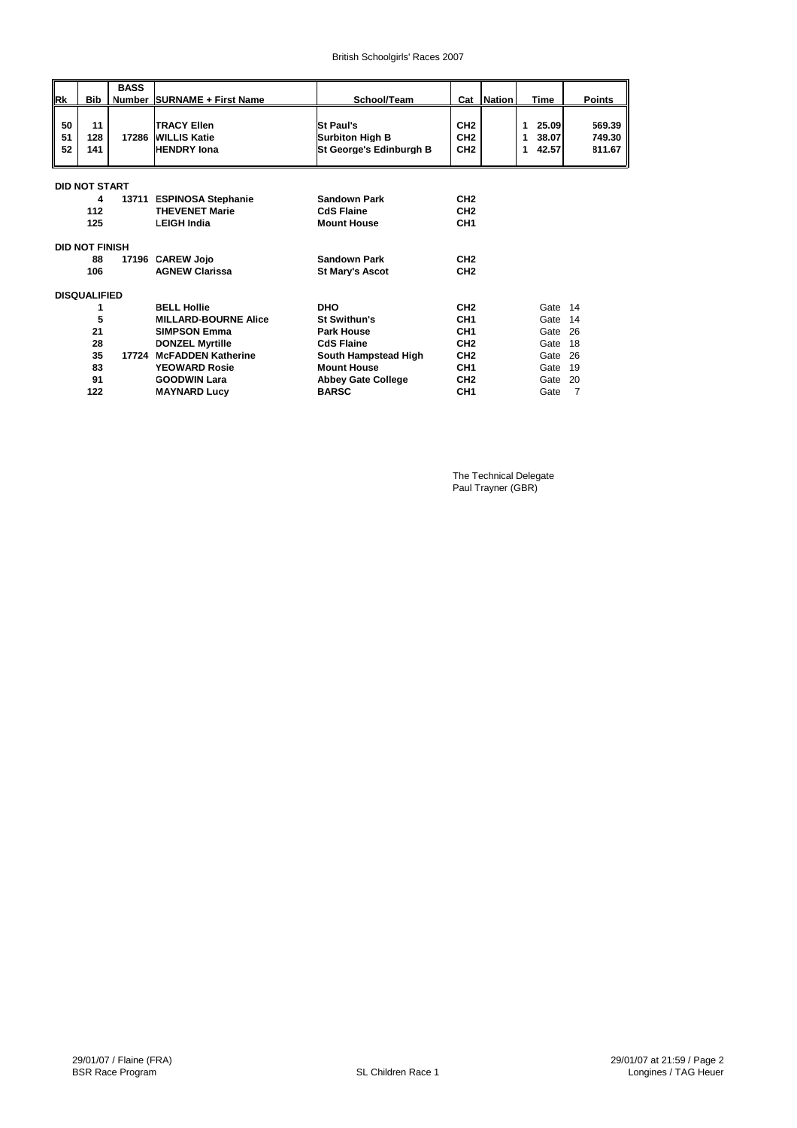| <b>Rk</b>      | <b>Bib</b>            | <b>BASS</b><br>Number | <b>SURNAME + First Name</b>                                     | School/Team                                                    |                                                       | Cat Nation | <b>Time</b>                            | <b>Points</b>              |
|----------------|-----------------------|-----------------------|-----------------------------------------------------------------|----------------------------------------------------------------|-------------------------------------------------------|------------|----------------------------------------|----------------------------|
| 50<br>51<br>52 | 11<br>128<br>141      | 17286                 | <b>TRACY Ellen</b><br><b>WILLIS Katie</b><br><b>HENDRY</b> Iona | <b>St Paul's</b><br>Surbiton High B<br>St George's Edinburgh B | CH <sub>2</sub><br>CH <sub>2</sub><br>CH <sub>2</sub> |            | 25.09<br>1<br>38.07<br>1<br>42.57<br>1 | 569.39<br>749.30<br>811.67 |
|                | <b>DID NOT START</b>  |                       |                                                                 |                                                                |                                                       |            |                                        |                            |
|                | 4                     |                       | 13711 ESPINOSA Stephanie                                        | <b>Sandown Park</b>                                            | CH <sub>2</sub>                                       |            |                                        |                            |
|                | 112                   |                       | <b>THEVENET Marie</b>                                           | <b>CdS Flaine</b>                                              | CH <sub>2</sub>                                       |            |                                        |                            |
|                | 125                   |                       | <b>LEIGH India</b>                                              | <b>Mount House</b>                                             | CH <sub>1</sub>                                       |            |                                        |                            |
|                | <b>DID NOT FINISH</b> |                       |                                                                 |                                                                |                                                       |            |                                        |                            |
|                | 88                    | 17196                 | <b>CAREW Joio</b>                                               | <b>Sandown Park</b>                                            | CH <sub>2</sub>                                       |            |                                        |                            |
|                | 106                   |                       | <b>AGNEW Clarissa</b>                                           | <b>St Mary's Ascot</b>                                         | CH <sub>2</sub>                                       |            |                                        |                            |
|                | <b>DISQUALIFIED</b>   |                       |                                                                 |                                                                |                                                       |            |                                        |                            |
|                | 1                     |                       | <b>BELL Hollie</b>                                              | <b>DHO</b>                                                     | CH <sub>2</sub>                                       |            | Gate 14                                |                            |
|                | 5                     |                       | <b>MILLARD-BOURNE Alice</b>                                     | St Swithun's                                                   | CH <sub>1</sub>                                       |            | Gate                                   | 14                         |
|                | 21                    |                       | <b>SIMPSON Emma</b>                                             | <b>Park House</b>                                              | CH <sub>1</sub>                                       |            | Gate                                   | 26                         |
|                | 28                    |                       | <b>DONZEL Myrtille</b>                                          | <b>CdS Flaine</b>                                              | CH <sub>2</sub>                                       |            | Gate                                   | 18                         |
|                | 35                    | 17724                 | <b>McFADDEN Katherine</b>                                       | South Hampstead High                                           | CH <sub>2</sub>                                       |            | Gate                                   | 26                         |
|                | 83                    |                       | <b>YEOWARD Rosie</b>                                            | <b>Mount House</b>                                             | CH <sub>1</sub>                                       |            | Gate                                   | 19                         |
|                | 91                    |                       | <b>GOODWIN Lara</b>                                             | <b>Abbey Gate College</b>                                      | CH <sub>2</sub>                                       |            | Gate                                   | 20                         |
|                | 122                   |                       | <b>MAYNARD Lucy</b>                                             | <b>BARSC</b>                                                   | CH <sub>1</sub>                                       |            | Gate                                   | $\overline{7}$             |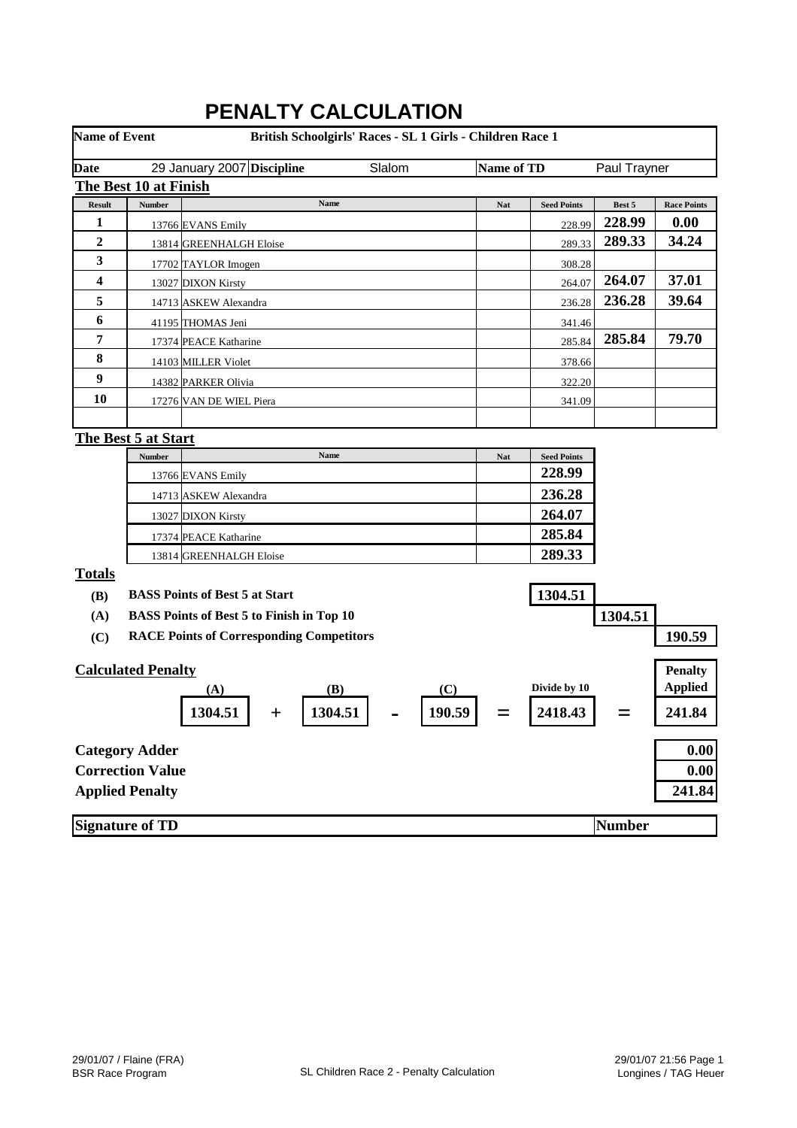| <b>Name of Event</b> |                           | FENALI I VALVULATIVN<br>British Schoolgirls' Races - SL 1 Girls - Children Race 1 |            |                    |               |                    |
|----------------------|---------------------------|-----------------------------------------------------------------------------------|------------|--------------------|---------------|--------------------|
|                      |                           |                                                                                   |            |                    |               |                    |
| <b>Date</b>          |                           | Slalom<br>29 January 2007 Discipline                                              | Name of TD |                    | Paul Trayner  |                    |
|                      | The Best 10 at Finish     |                                                                                   |            |                    |               |                    |
| <b>Result</b>        | <b>Number</b>             | Name                                                                              | Nat        | <b>Seed Points</b> | Best 5        | <b>Race Points</b> |
| 1                    |                           | 13766 EVANS Emily                                                                 |            | 228.99             | 228.99        | 0.00               |
| 2                    |                           | 13814 GREENHALGH Eloise                                                           |            | 289.33             | 289.33        | 34.24              |
| 3                    |                           | 17702 TAYLOR Imogen                                                               |            | 308.28             |               |                    |
| 4                    |                           | 13027 DIXON Kirsty                                                                |            | 264.07             | 264.07        | 37.01              |
| 5                    |                           | 14713 ASKEW Alexandra                                                             |            | 236.28             | 236.28        | 39.64              |
| 6                    |                           | 41195 THOMAS Jeni                                                                 |            | 341.46             |               |                    |
| 7                    |                           | 17374 PEACE Katharine                                                             |            | 285.84             | 285.84        | 79.70              |
| 8                    |                           | 14103 MILLER Violet                                                               |            | 378.66             |               |                    |
| 9                    |                           | 14382 PARKER Olivia                                                               |            | 322.20             |               |                    |
| <b>10</b>            |                           | 17276 VAN DE WIEL Piera                                                           |            | 341.09             |               |                    |
|                      |                           |                                                                                   |            |                    |               |                    |
|                      | The Best 5 at Start       |                                                                                   |            |                    |               |                    |
|                      | <b>Number</b>             | Name                                                                              | <b>Nat</b> | <b>Seed Points</b> |               |                    |
|                      |                           | 13766 EVANS Emily                                                                 |            | 228.99             |               |                    |
|                      |                           | 14713 ASKEW Alexandra                                                             |            | 236.28             |               |                    |
|                      |                           | 13027 DIXON Kirsty                                                                |            | 264.07             |               |                    |
|                      |                           | 17374 PEACE Katharine                                                             |            | 285.84             |               |                    |
|                      |                           | 13814 GREENHALGH Eloise                                                           |            | 289.33             |               |                    |
| <b>Totals</b>        |                           |                                                                                   |            |                    |               |                    |
| <b>(B)</b>           |                           | <b>BASS Points of Best 5 at Start</b>                                             |            | 1304.51            |               |                    |
| (A)                  |                           | <b>BASS Points of Best 5 to Finish in Top 10</b>                                  |            |                    | 1304.51       |                    |
| (C)                  |                           | <b>RACE Points of Corresponding Competitors</b>                                   |            |                    |               | 190.59             |
|                      |                           |                                                                                   |            |                    |               |                    |
|                      | <b>Calculated Penalty</b> |                                                                                   |            |                    |               | <b>Penalty</b>     |
|                      |                           | (B)<br>(C)<br>(A)                                                                 |            | Divide by 10       |               | <b>Applied</b>     |
|                      |                           | 190.59<br>1304.51<br>1304.51                                                      |            | 2418.43            |               | 241.84             |
|                      | <b>Category Adder</b>     |                                                                                   |            |                    |               | 0.00               |
|                      | <b>Correction Value</b>   |                                                                                   |            |                    |               | 0.00               |
|                      | <b>Applied Penalty</b>    |                                                                                   |            |                    |               | 241.84             |
|                      |                           |                                                                                   |            |                    |               |                    |
|                      | <b>Signature of TD</b>    |                                                                                   |            |                    | <b>Number</b> |                    |

## **PENALTY CALCULATION**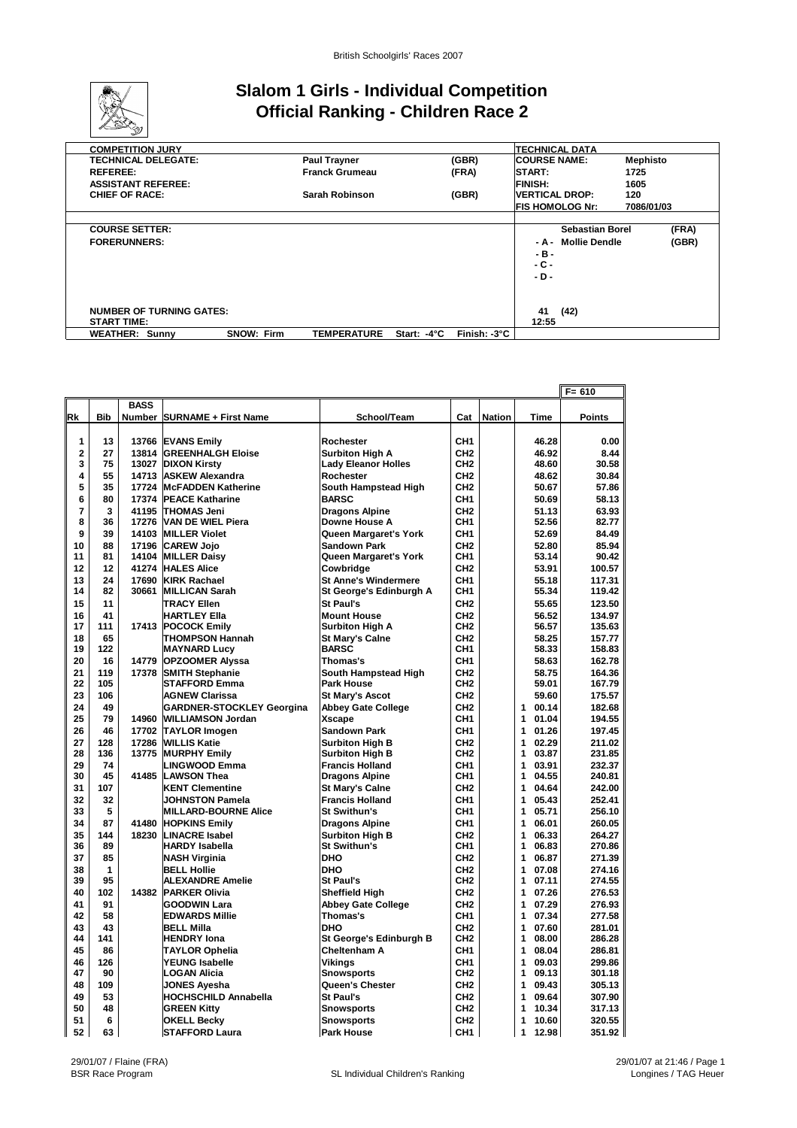

### **Slalom 1 Girls - Individual Competition Official Ranking - Children Race 2**

| <b>COMPETITION JURY</b>         |                   |                       |             |              | ITECHNICAL DATA               |            |
|---------------------------------|-------------------|-----------------------|-------------|--------------|-------------------------------|------------|
| <b>TECHNICAL DELEGATE:</b>      |                   | <b>Paul Trayner</b>   |             | (GBR)        | <b>COURSE NAME:</b>           | Mephisto   |
| <b>REFEREE:</b>                 |                   | <b>Franck Grumeau</b> |             | (FRA)        | START:                        | 1725       |
| <b>ASSISTANT REFEREE:</b>       |                   |                       |             |              | <b>FINISH:</b>                | 1605       |
| <b>CHIEF OF RACE:</b>           |                   | Sarah Robinson        |             | (GBR)        | <b>VERTICAL DROP:</b>         | 120        |
|                                 |                   |                       |             |              | <b>FIS HOMOLOG Nr:</b>        | 7086/01/03 |
|                                 |                   |                       |             |              |                               |            |
| <b>COURSE SETTER:</b>           |                   |                       |             |              | <b>Sebastian Borel</b>        | (FRA)      |
| <b>FORERUNNERS:</b>             |                   |                       |             |              | <b>Mollie Dendle</b><br>- A - | (GBR)      |
|                                 |                   |                       |             |              | - в -                         |            |
|                                 |                   |                       |             |              | - C -                         |            |
|                                 |                   |                       |             |              | - D -                         |            |
|                                 |                   |                       |             |              |                               |            |
|                                 |                   |                       |             |              |                               |            |
| <b>NUMBER OF TURNING GATES:</b> |                   |                       |             |              | 41<br>(42)                    |            |
| <b>START TIME:</b>              |                   |                       |             |              | 12:55                         |            |
| <b>WEATHER: Sunny</b>           | <b>SNOW: Firm</b> | <b>TEMPERATURE</b>    | Start: -4°C | Finish: -3°C |                               |            |

|                |            |             |                                                |                                               |                                    |            |                          | $F = 610$        |
|----------------|------------|-------------|------------------------------------------------|-----------------------------------------------|------------------------------------|------------|--------------------------|------------------|
|                |            | <b>BASS</b> |                                                |                                               |                                    |            |                          |                  |
| Rk             | <b>Bib</b> |             | <b>Number SURNAME + First Name</b>             | School/Team                                   |                                    | Cat Nation | <b>Time</b>              | <b>Points</b>    |
|                |            |             |                                                |                                               |                                    |            |                          |                  |
| 1              | 13         |             | 13766 EVANS Emily                              | Rochester                                     | CH <sub>1</sub>                    |            | 46.28                    | 0.00             |
| $\overline{2}$ | 27         | 13814       | <b>GREENHALGH Eloise</b>                       | <b>Surbiton High A</b>                        | CH <sub>2</sub>                    |            | 46.92                    | 8.44             |
| 3              | 75         | 13027       | <b>DIXON Kirsty</b>                            | <b>Lady Eleanor Holles</b>                    | CH <sub>2</sub>                    |            | 48.60                    | 30.58            |
| 4              | 55         |             | 14713 ASKEW Alexandra                          | Rochester                                     | CH <sub>2</sub>                    |            | 48.62                    | 30.84            |
| 5              | 35         |             | 17724 McFADDEN Katherine                       | South Hampstead High                          | CH <sub>2</sub>                    |            | 50.67                    | 57.86            |
| 6              | 80         |             | 17374 PEACE Katharine                          | <b>BARSC</b>                                  | CH <sub>1</sub>                    |            | 50.69                    | 58.13            |
| $\overline{7}$ | 3          |             | 41195 THOMAS Jeni                              | <b>Dragons Alpine</b>                         | CH <sub>2</sub>                    |            | 51.13                    | 63.93            |
| 8              | 36         |             | 17276 VAN DE WIEL Piera                        | Downe House A                                 | CH <sub>1</sub>                    |            | 52.56                    | 82.77            |
| 9              | 39         |             | 14103 MILLER Violet                            | Queen Margaret's York                         | CH <sub>1</sub>                    |            | 52.69                    | 84.49            |
| 10             | 88         |             | 17196 CAREW Jojo                               | <b>Sandown Park</b>                           | CH <sub>2</sub>                    |            | 52.80                    | 85.94            |
| 11             | 81         |             | 14104 MILLER Daisy                             | Queen Margaret's York                         | CH <sub>1</sub>                    |            | 53.14                    | 90.42            |
| 12             | 12         | 41274       | <b>HALES Alice</b>                             | Cowbridge                                     | CH <sub>2</sub>                    |            | 53.91                    | 100.57           |
| 13             | 24         | 17690       | <b>KIRK Rachael</b>                            | <b>St Anne's Windermere</b>                   | CH <sub>1</sub>                    |            | 55.18                    | 117.31           |
| 14             | 82         |             | 30661 MILLICAN Sarah                           | St George's Edinburgh A                       | CH <sub>1</sub>                    |            | 55.34                    | 119.42           |
| 15             | 11         |             | <b>TRACY Ellen</b>                             | St Paul's                                     | CH <sub>2</sub>                    |            | 55.65                    | 123.50           |
| 16             | 41         |             | <b>HARTLEY Ella</b>                            | <b>Mount House</b>                            | CH <sub>2</sub>                    |            | 56.52                    | 134.97           |
| 17             | 111        |             | 17413 POCOCK Emily                             | <b>Surbiton High A</b>                        | CH <sub>2</sub>                    |            | 56.57                    | 135.63           |
| 18             | 65         |             | THOMPSON Hannah                                | <b>St Marv's Calne</b>                        | CH <sub>2</sub>                    |            | 58.25                    | 157.77           |
| 19             | 122        |             | <b>MAYNARD Lucy</b>                            | <b>BARSC</b>                                  | CH <sub>1</sub>                    |            | 58.33                    | 158.83           |
| 20             | 16         | 14779       | <b>OPZOOMER Alyssa</b>                         | Thomas's                                      | CH <sub>1</sub>                    |            | 58.63                    | 162.78           |
| 21             | 119        | 17378       | <b>SMITH Stephanie</b>                         | South Hampstead High                          | CH <sub>2</sub>                    |            | 58.75                    | 164.36           |
| 22             | 105        |             | <b>STAFFORD Emma</b>                           | <b>Park House</b>                             | CH <sub>2</sub>                    |            | 59.01                    | 167.79           |
| 23             | 106        |             | <b>AGNEW Clarissa</b>                          | St Mary's Ascot                               | CH <sub>2</sub>                    |            | 59.60                    | 175.57           |
| 24             | 49         |             | <b>GARDNER-STOCKLEY Georgina</b>               | <b>Abbey Gate College</b>                     | CH <sub>2</sub>                    |            | 1<br>00.14               | 182.68           |
| 25             | 79         | 14960       | <b>WILLIAMSON Jordan</b>                       | <b>Xscape</b>                                 | CH <sub>1</sub>                    |            | 01.04<br>1               | 194.55           |
| 26             | 46         |             | 17702 TAYLOR Imogen                            | <b>Sandown Park</b>                           | CH <sub>1</sub>                    |            | 1<br>01.26               | 197.45           |
| 27             | 128        | 17286       | <b>WILLIS Katie</b>                            | <b>Surbiton High B</b>                        | CH <sub>2</sub>                    |            | 1<br>02.29               | 211.02           |
| 28             | 136        | 13775       | <b>MURPHY Emily</b>                            | <b>Surbiton High B</b>                        | CH <sub>2</sub>                    |            | 1<br>03.87               | 231.85           |
| 29             | 74         |             | <b>LINGWOOD Emma</b>                           | <b>Francis Holland</b>                        | CH <sub>1</sub>                    |            | 1<br>03.91               | 232.37           |
| 30             | 45         | 41485       | <b>LAWSON Thea</b>                             | <b>Dragons Alpine</b>                         | CH <sub>1</sub>                    |            | 1<br>04.55               | 240.81           |
| 31             | 107        |             | <b>KENT Clementine</b>                         | <b>St Mary's Calne</b>                        | CH <sub>2</sub>                    |            | 1<br>04.64               | 242.00           |
| 32<br>33       | 32<br>5    |             | JOHNSTON Pamela                                | <b>Francis Holland</b>                        | CH <sub>1</sub><br>CH <sub>1</sub> |            | 1<br>05.43<br>1<br>05.71 | 252.41<br>256.10 |
| 34             | 87         |             | <b>MILLARD-BOURNE Alice</b>                    | St Swithun's                                  |                                    |            |                          |                  |
|                |            | 41480       | <b>HOPKINS Emily</b>                           | <b>Dragons Alpine</b>                         | CH <sub>1</sub>                    |            | 1<br>06.01               | 260.05           |
| 35<br>36       | 144<br>89  | 18230       | <b>LINACRE Isabel</b><br><b>HARDY Isabella</b> | <b>Surbiton High B</b><br><b>St Swithun's</b> | CH <sub>2</sub><br>CH <sub>1</sub> |            | 1<br>06.33<br>1<br>06.83 | 264.27<br>270.86 |
| 37             | 85         |             | NASH Virginia                                  | <b>DHO</b>                                    | CH <sub>2</sub>                    |            | 1<br>06.87               | 271.39           |
| 38             | 1          |             | <b>BELL Hollie</b>                             | <b>DHO</b>                                    | CH <sub>2</sub>                    |            | 1<br>07.08               | 274.16           |
| 39             | 95         |             | <b>ALEXANDRE Amelie</b>                        | St Paul's                                     | CH <sub>2</sub>                    |            | 1<br>07.11               | 274.55           |
| 40             | 102        | 14382       | <b>PARKER Olivia</b>                           | <b>Sheffield High</b>                         | CH <sub>2</sub>                    |            | 1<br>07.26               | 276.53           |
| 41             | 91         |             | <b>GOODWIN Lara</b>                            | <b>Abbey Gate College</b>                     | CH <sub>2</sub>                    |            | 1<br>07.29               | 276.93           |
| 42             | 58         |             | <b>EDWARDS Millie</b>                          | Thomas's                                      | CH <sub>1</sub>                    |            | 1<br>07.34               | 277.58           |
| 43             | 43         |             | <b>BELL Milla</b>                              | <b>DHO</b>                                    | CH <sub>2</sub>                    |            | 1<br>07.60               | 281.01           |
| 44             | 141        |             | <b>HENDRY lona</b>                             | St George's Edinburgh B                       | CH <sub>2</sub>                    |            | 1<br>08.00               | 286.28           |
| 45             | 86         |             | <b>TAYLOR Ophelia</b>                          | Cheltenham A                                  | CH <sub>1</sub>                    |            | 08.04<br>1               | 286.81           |
| 46             | 126        |             | YEUNG Isabelle                                 | Vikinas                                       | CH <sub>1</sub>                    |            | 1<br>09.03               | 299.86           |
| 47             | 90         |             | LOGAN Alicia                                   | <b>Snowsports</b>                             | CH <sub>2</sub>                    |            | 09.13<br>1               | 301.18           |
| 48             | 109        |             | <b>JONES Ayesha</b>                            | Queen's Chester                               | CH <sub>2</sub>                    |            | 09.43<br>1               | 305.13           |
| 49             | 53         |             | <b>HOCHSCHILD Annabella</b>                    | St Paul's                                     | CH <sub>2</sub>                    |            | 1<br>09.64               | 307.90           |
| 50             | 48         |             | <b>GREEN Kitty</b>                             | <b>Snowsports</b>                             | CH <sub>2</sub>                    |            | 10.34<br>1               | 317.13           |
| 51             | 6          |             | <b>OKELL Becky</b>                             | <b>Snowsports</b>                             | CH <sub>2</sub>                    |            | 10.60<br>1               | 320.55           |
| 52             | 63         |             | <b>STAFFORD Laura</b>                          | <b>Park House</b>                             | CH <sub>1</sub>                    |            | 1<br>12.98               | 351.92           |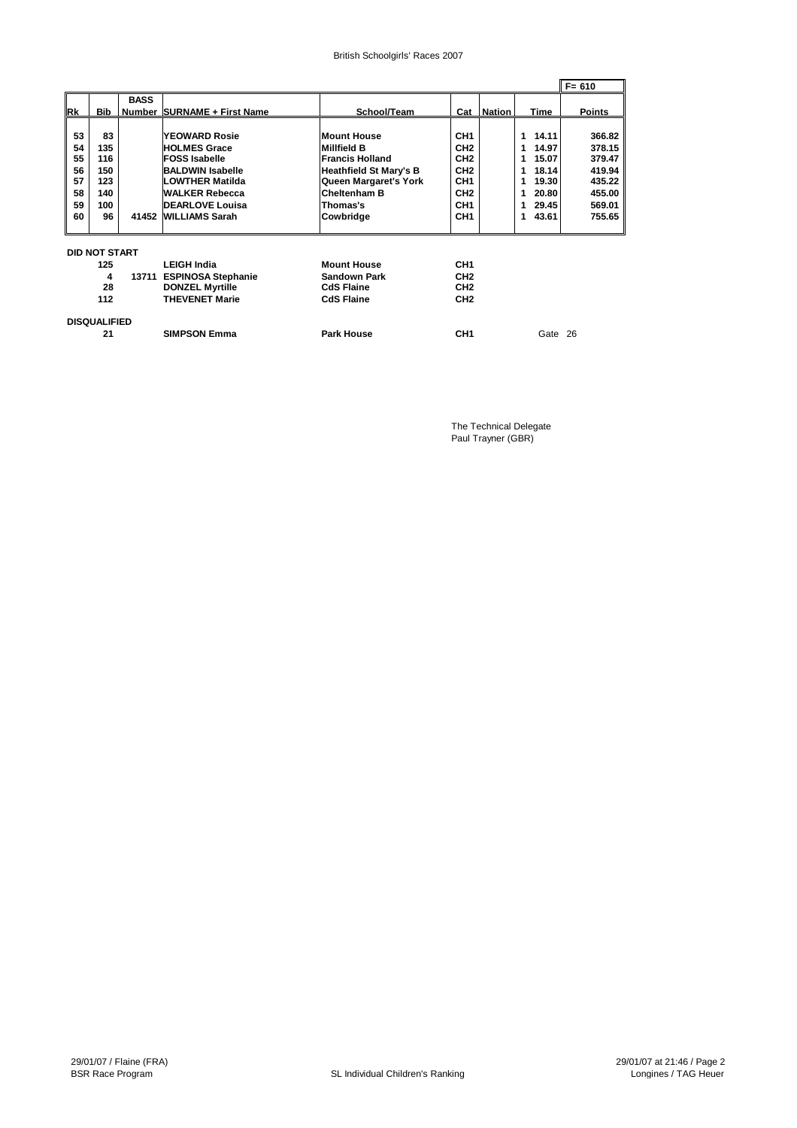#### British Schoolgirls' Races 2007

|                                              |                                                    |             |                                                                                                                                                                                                     |                                                                                                                                                                       |                                                                                                                                                      |               |                                                                                                              | $F = 610$                                                                    |
|----------------------------------------------|----------------------------------------------------|-------------|-----------------------------------------------------------------------------------------------------------------------------------------------------------------------------------------------------|-----------------------------------------------------------------------------------------------------------------------------------------------------------------------|------------------------------------------------------------------------------------------------------------------------------------------------------|---------------|--------------------------------------------------------------------------------------------------------------|------------------------------------------------------------------------------|
| Rk                                           | <b>Bib</b>                                         | <b>BASS</b> | Number SURNAME + First Name                                                                                                                                                                         | School/Team                                                                                                                                                           | Cat                                                                                                                                                  | <b>Nation</b> | Time                                                                                                         | <b>Points</b>                                                                |
| 53<br>54<br>55<br>56<br>57<br>58<br>59<br>60 | 83<br>135<br>116<br>150<br>123<br>140<br>100<br>96 |             | <b>YEOWARD Rosie</b><br><b>HOLMES Grace</b><br><b>FOSS Isabelle</b><br><b>BALDWIN Isabelle</b><br><b>LOWTHER Matilda</b><br><b>WALKER Rebecca</b><br><b>DEARLOVE Louisa</b><br>41452 WILLIAMS Sarah | <b>Mount House</b><br>Millfield B<br><b>Francis Holland</b><br><b>Heathfield St Mary's B</b><br>Queen Margaret's York<br>Cheltenham B<br>Thomas's<br><b>Cowbridge</b> | CH <sub>1</sub><br>CH <sub>2</sub><br>CH <sub>2</sub><br>CH <sub>2</sub><br>CH <sub>1</sub><br>CH <sub>2</sub><br>CH <sub>1</sub><br>CH <sub>1</sub> |               | 14.11<br>1<br>14.97<br>1<br>15.07<br>1<br>18.14<br>1<br>19.30<br>1<br>20.80<br>1<br>29.45<br>1<br>43.61<br>1 | 366.82<br>378.15<br>379.47<br>419.94<br>435.22<br>455.00<br>569.01<br>755.65 |
|                                              | <b>DID NOT START</b>                               |             |                                                                                                                                                                                                     |                                                                                                                                                                       |                                                                                                                                                      |               |                                                                                                              |                                                                              |
|                                              | 125                                                |             | <b>LEIGH India</b>                                                                                                                                                                                  | <b>Mount House</b>                                                                                                                                                    | CH <sub>1</sub>                                                                                                                                      |               |                                                                                                              |                                                                              |
|                                              | 4                                                  |             | 13711 ESPINOSA Stephanie                                                                                                                                                                            | <b>Sandown Park</b>                                                                                                                                                   | CH <sub>2</sub>                                                                                                                                      |               |                                                                                                              |                                                                              |
|                                              | 28                                                 |             | <b>DONZEL Myrtille</b>                                                                                                                                                                              | <b>CdS Flaine</b>                                                                                                                                                     | CH <sub>2</sub>                                                                                                                                      |               |                                                                                                              |                                                                              |
|                                              | 112                                                |             | <b>THEVENET Marie</b>                                                                                                                                                                               | <b>CdS Flaine</b>                                                                                                                                                     | CH <sub>2</sub>                                                                                                                                      |               |                                                                                                              |                                                                              |
|                                              | <b>DISQUALIFIED</b>                                |             |                                                                                                                                                                                                     |                                                                                                                                                                       |                                                                                                                                                      |               |                                                                                                              |                                                                              |
|                                              | 21                                                 |             | <b>SIMPSON Emma</b>                                                                                                                                                                                 | <b>Park House</b>                                                                                                                                                     | CH <sub>1</sub>                                                                                                                                      |               | Gate 26                                                                                                      |                                                                              |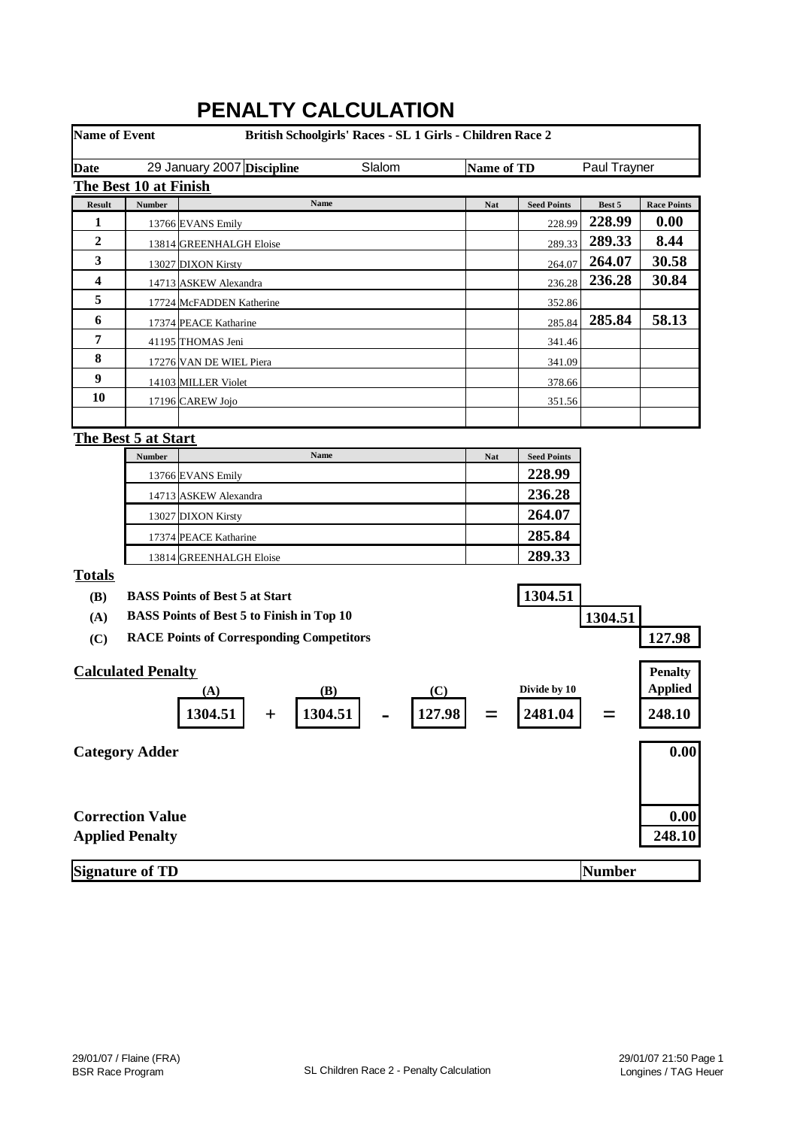| <b>Name of Event</b> |                           | British Schoolgirls' Races - SL 1 Girls - Children Race 2 |            |                    |               |                    |
|----------------------|---------------------------|-----------------------------------------------------------|------------|--------------------|---------------|--------------------|
| <b>Date</b>          |                           | Slalom<br>29 January 2007 Discipline                      | Name of TD |                    | Paul Trayner  |                    |
|                      | The Best 10 at Finish     |                                                           |            |                    |               |                    |
| <b>Result</b>        | Number                    | Name                                                      | <b>Nat</b> | <b>Seed Points</b> | Best 5        | <b>Race Points</b> |
| 1                    |                           | 13766 EVANS Emily                                         |            | 228.99             | 228.99        | 0.00               |
| $\boldsymbol{2}$     |                           | 13814 GREENHALGH Eloise                                   |            | 289.33             | 289.33        | 8.44               |
| 3                    |                           | 13027 DIXON Kirsty                                        |            | 264.07             | 264.07        | 30.58              |
| 4                    |                           | 14713 ASKEW Alexandra                                     |            | 236.28             | 236.28        | 30.84              |
| 5                    |                           | 17724 McFADDEN Katherine                                  |            | 352.86             |               |                    |
| 6                    |                           | 17374 PEACE Katharine                                     |            | 285.84             | 285.84        | 58.13              |
| 7                    |                           | 41195 THOMAS Jeni                                         |            | 341.46             |               |                    |
| 8                    |                           | 17276 VAN DE WIEL Piera                                   |            | 341.09             |               |                    |
| 9                    |                           | 14103 MILLER Violet                                       |            | 378.66             |               |                    |
| 10                   |                           | 17196 CAREW Jojo                                          |            | 351.56             |               |                    |
|                      |                           |                                                           |            |                    |               |                    |
|                      | The Best 5 at Start       |                                                           |            |                    |               |                    |
|                      | Number                    | Name                                                      | <b>Nat</b> | <b>Seed Points</b> |               |                    |
|                      |                           | 13766 EVANS Emily                                         |            | 228.99             |               |                    |
|                      |                           | 14713 ASKEW Alexandra                                     |            | 236.28             |               |                    |
|                      |                           | 13027 DIXON Kirsty                                        |            | 264.07             |               |                    |
|                      |                           | 17374 PEACE Katharine                                     |            | 285.84             |               |                    |
|                      |                           | 13814 GREENHALGH Eloise                                   |            | 289.33             |               |                    |
| <b>Totals</b>        |                           |                                                           |            |                    |               |                    |
| <b>(B)</b>           |                           | <b>BASS Points of Best 5 at Start</b>                     |            | 1304.51            |               |                    |
| (A)                  |                           | <b>BASS Points of Best 5 to Finish in Top 10</b>          |            |                    | 1304.51       |                    |
| (C)                  |                           | <b>RACE Points of Corresponding Competitors</b>           |            |                    |               | 127.98             |
|                      |                           |                                                           |            |                    |               |                    |
|                      | <b>Calculated Penalty</b> |                                                           |            |                    |               | <b>Penalty</b>     |
|                      |                           | (C)<br>(B)<br>(A)                                         |            | Divide by 10       |               | <b>Applied</b>     |
|                      |                           | 1304.51<br>127.98<br>1304.51                              |            | 2481.04            |               | 248.10             |
|                      | <b>Category Adder</b>     |                                                           |            |                    |               | 0.00               |
|                      |                           |                                                           |            |                    |               |                    |
|                      |                           |                                                           |            |                    |               |                    |
|                      | <b>Correction Value</b>   |                                                           |            |                    |               | 0.00               |
|                      | <b>Applied Penalty</b>    |                                                           |            |                    |               | 248.10             |
|                      | <b>Signature of TD</b>    |                                                           |            |                    | <b>Number</b> |                    |

# **PENALTY CALCULATION**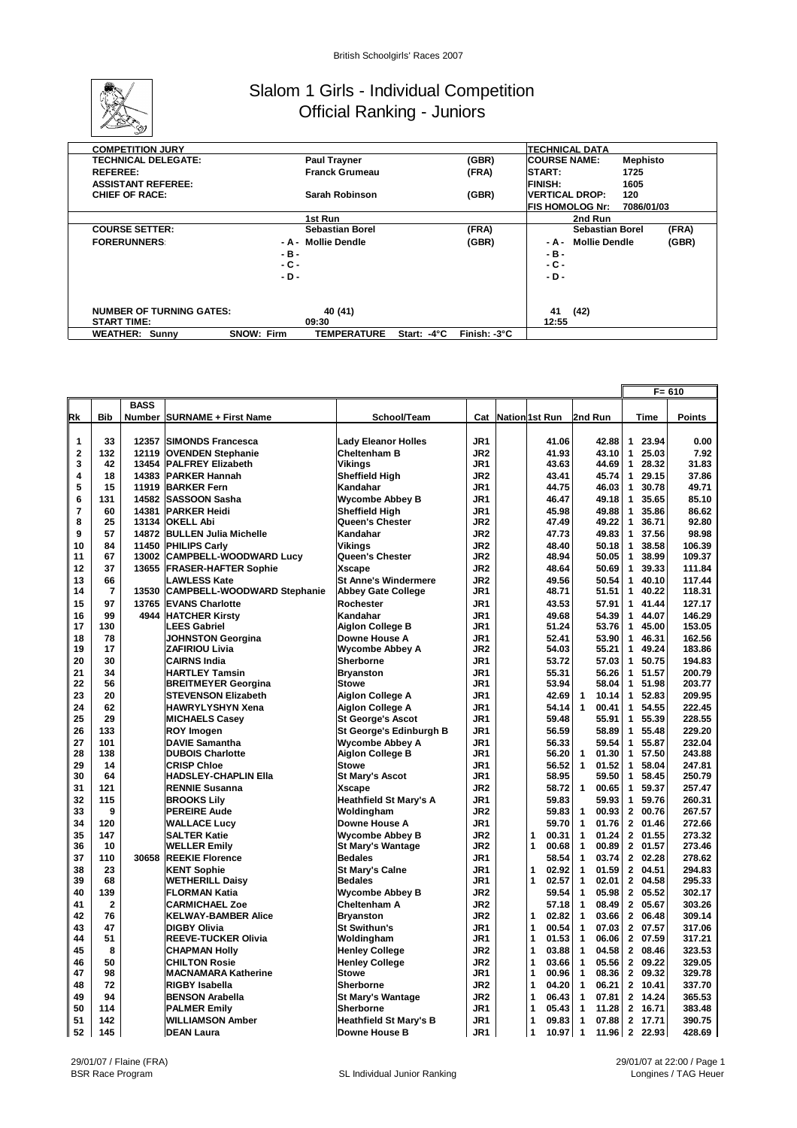

### Slalom 1 Girls - Individual Competition Official Ranking - Juniors

| <b>COMPETITION JURY</b>         |                                         |             |              | <b>TECHNICAL DATA</b>         |            |
|---------------------------------|-----------------------------------------|-------------|--------------|-------------------------------|------------|
| <b>TECHNICAL DELEGATE:</b>      | <b>Paul Trayner</b>                     |             | (GBR)        | <b>ICOURSE NAME:</b>          | Mephisto   |
| <b>REFEREE:</b>                 | <b>Franck Grumeau</b>                   |             | (FRA)        | START:                        | 1725       |
| <b>ASSISTANT REFEREE:</b>       |                                         |             |              | <b>FINISH:</b>                | 1605       |
| <b>CHIEF OF RACE:</b>           | Sarah Robinson                          |             | (GBR)        | <b>VERTICAL DROP:</b>         | 120        |
|                                 |                                         |             |              | <b>FIS HOMOLOG Nr:</b>        | 7086/01/03 |
|                                 | 1st Run                                 |             |              | 2nd Run                       |            |
| <b>COURSE SETTER:</b>           | <b>Sebastian Borel</b>                  |             | (FRA)        | <b>Sebastian Borel</b>        | (FRA)      |
| <b>FORERUNNERS:</b>             | - A - Mollie Dendle                     |             | (GBR)        | <b>Mollie Dendle</b><br>- A - | (GBR)      |
|                                 | -в-                                     |             |              | - в -                         |            |
|                                 | - C -                                   |             |              | - C -                         |            |
|                                 | - D -                                   |             |              | $-D -$                        |            |
|                                 |                                         |             |              |                               |            |
|                                 |                                         |             |              |                               |            |
| <b>NUMBER OF TURNING GATES:</b> | 40 (41)                                 |             |              | 41<br>(42)                    |            |
| <b>START TIME:</b>              | 09:30                                   |             |              | 12:55                         |            |
| <b>WEATHER: Sunny</b>           | <b>TEMPERATURE</b><br><b>SNOW: Firm</b> | Start: -4°C | Finish: -3°C |                               |            |

|                         |                |             |                                                  |                                            |                 |                |                                |                                | $F = 610$        |
|-------------------------|----------------|-------------|--------------------------------------------------|--------------------------------------------|-----------------|----------------|--------------------------------|--------------------------------|------------------|
|                         |                | <b>BASS</b> |                                                  |                                            |                 |                |                                |                                |                  |
| Rk                      | <b>Bib</b>     |             | <b>Number SURNAME + First Name</b>               | School/Team                                | Cat             | Nation 1st Run | 2nd Run                        | Time                           | <b>Points</b>    |
|                         |                |             |                                                  |                                            |                 |                |                                |                                |                  |
| 1                       | 33             | 12357       | <b>SIMONDS Francesca</b>                         | <b>Lady Eleanor Holles</b>                 | JR1             | 41.06          | 42.88                          | 23.94<br>1                     | 0.00             |
| $\overline{\mathbf{2}}$ | 132            | 12119       | <b>OVENDEN Stephanie</b>                         | <b>Cheltenham B</b>                        | JR <sub>2</sub> | 41.93          | 43.10                          | 25.03<br>1                     | 7.92             |
| 3                       | 42             | 13454       | <b>PALFREY Elizabeth</b>                         | Vikings                                    | JR <sub>1</sub> | 43.63          | 44.69                          | 28.32<br>$\mathbf{1}$          | 31.83            |
| 4                       | 18             | 14383       | <b>PARKER Hannah</b>                             | <b>Sheffield High</b>                      | JR <sub>2</sub> | 43.41          | 45.74                          | 29.15<br>$\mathbf 1$           | 37.86            |
| 5                       | 15             | 11919       | <b>BARKER Fern</b>                               | Kandahar                                   | JR1             | 44.75          | 46.03                          | 30.78<br>$\mathbf{1}$          | 49.71            |
| 6                       | 131            | 14582       | <b>SASSOON Sasha</b>                             | <b>Wycombe Abbey B</b>                     | JR1             | 46.47          | 49.18                          | 35.65<br>$\mathbf{1}$          | 85.10            |
| 7                       | 60             | 14381       | <b>PARKER Heidi</b>                              | <b>Sheffield High</b>                      | JR1             | 45.98          | 49.88                          | 35.86<br>$\mathbf{1}$          | 86.62            |
| 8                       | 25             | 13134       | <b>OKELL Abi</b>                                 | Queen's Chester                            | JR <sub>2</sub> | 47.49          | 49.22                          | 36.71<br>$\mathbf{1}$          | 92.80            |
| 9                       | 57             | 14872       | <b>BULLEN Julia Michelle</b>                     | Kandahar                                   | JR <sub>2</sub> | 47.73          | 49.83                          | 37.56<br>$\mathbf{1}$          | 98.98            |
| 10                      | 84             | 11450       | <b>PHILIPS Carly</b>                             | Vikings                                    | JR <sub>2</sub> | 48.40          | 50.18                          | 38.58<br>1                     | 106.39           |
| 11                      | 67             | 13002       | <b>CAMPBELL-WOODWARD Lucy</b>                    | Queen's Chester                            | JR <sub>2</sub> | 48.94          | 50.05                          | 38.99<br>$\mathbf{1}$          | 109.37           |
| 12                      | 37             |             | 13655 FRASER-HAFTER Sophie                       | <b>Xscape</b>                              | JR <sub>2</sub> | 48.64          | 50.69                          | 39.33<br>$\mathbf{1}$          | 111.84           |
| 13                      | 66             |             | <b>LAWLESS Kate</b>                              | <b>St Anne's Windermere</b>                | JR <sub>2</sub> | 49.56          | 50.54                          | 40.10<br>$\mathbf{1}$          | 117.44           |
| 14                      | $\overline{7}$ | 13530       | <b>CAMPBELL-WOODWARD Stephanie</b>               | <b>Abbey Gate College</b>                  | JR1             | 48.71          | 51.51                          | 40.22<br>1                     | 118.31           |
| 15                      | 97             | 13765       | <b>EVANS Charlotte</b>                           | Rochester                                  | JR1             | 43.53          | 57.91                          | 1 41.44                        | 127.17           |
| 16                      | 99             |             | 4944 HATCHER Kirsty                              | Kandahar                                   | JR1             | 49.68          | 54.39                          | 44.07<br>$\mathbf{1}$          | 146.29           |
| 17                      | 130            |             | LEES Gabriel                                     | Aiglon College B                           | JR1             | 51.24          | 53.76                          | 45.00<br>$\mathbf{1}$          | 153.05           |
| 18                      | 78             |             | <b>JOHNSTON Georgina</b>                         | <b>Downe House A</b>                       | JR1             | 52.41          | 53.90                          | 46.31<br>$\mathbf{1}$          | 162.56           |
| 19                      | 17             |             | ZAFIRIOU Livia                                   | <b>Wycombe Abbey A</b>                     | JR <sub>2</sub> | 54.03          | 55.21                          | 1 49.24                        | 183.86           |
| 20                      | 30             |             | <b>CAIRNS India</b>                              | Sherborne                                  | JR1             | 53.72          | 57.03                          | 50.75<br>$\mathbf{1}$          | 194.83           |
| 21                      | 34             |             | <b>HARTLEY Tamsin</b>                            | <b>Bryanston</b>                           | JR <sub>1</sub> | 55.31          | 56.26                          | 51.57<br>$\mathbf{1}$          | 200.79           |
| 22                      | 56             |             | <b>BREITMEYER Georgina</b>                       | <b>Stowe</b>                               | JR1             | 53.94          | 58.04                          | 1 51.98                        | 203.77           |
| 23                      | 20             |             | <b>STEVENSON Elizabeth</b>                       | Aiglon College A                           | JR1             | 42.69          | 10.14<br>1                     | 1 52.83                        | 209.95           |
| 24<br>25                | 62<br>29       |             | HAWRYLYSHYN Xena                                 | <b>Aiglon College A</b>                    | JR1<br>JR1      | 54.14          | 1<br>00.41<br>55.91            | 54.55<br>$\mathbf{1}$<br>55.39 | 222.45<br>228.55 |
|                         |                |             | <b>MICHAELS Casey</b>                            | <b>St George's Ascot</b>                   |                 | 59.48          |                                | $\mathbf{1}$                   |                  |
| 26                      | 133            |             | <b>ROY Imogen</b>                                | St George's Edinburgh B                    | JR1             | 56.59          | 58.89                          | 55.48<br>$\mathbf{1}$          | 229.20           |
| 27<br>28                | 101<br>138     |             | <b>DAVIE Samantha</b><br><b>DUBOIS Charlotte</b> | <b>Wycombe Abbey A</b><br>Aiglon College B | JR1<br>JR1      | 56.33<br>56.20 | 59.54<br>$\mathbf{1}$<br>01.30 | 1<br>55.87<br>1 57.50          | 232.04<br>243.88 |
| 29                      | 14             |             | <b>CRISP Chloe</b>                               | <b>Stowe</b>                               | JR1             | 56.52          | $\mathbf{1}$<br>01.52          | 58.04<br>$\mathbf{1}$          | 247.81           |
| 30                      | 64             |             | <b>HADSLEY-CHAPLIN Ella</b>                      | <b>St Mary's Ascot</b>                     | JR1             | 58.95          | 59.50                          | 58.45<br>1                     | 250.79           |
| 31                      | 121            |             | <b>RENNIE Susanna</b>                            | <b>Xscape</b>                              | JR <sub>2</sub> | 58.72          | $\mathbf{1}$<br>00.65          | 1 59.37                        | 257.47           |
| 32                      | 115            |             | <b>BROOKS Lily</b>                               | <b>Heathfield St Mary's A</b>              | JR1             | 59.83          | 59.93                          | 59.76<br>$\mathbf{1}$          | 260.31           |
| 33                      | 9              |             | <b>PEREIRE Aude</b>                              | Woldingham                                 | JR <sub>2</sub> | 59.83          | 00.93<br>1                     | $\mathbf{2}$<br>00.76          | 267.57           |
| 34                      | 120            |             | <b>WALLACE Lucy</b>                              | <b>Downe House A</b>                       | JR1             | 59.70          | 1<br>01.76                     | 2 01.46                        | 272.66           |
| 35                      | 147            |             | <b>SALTER Katie</b>                              | <b>Wycombe Abbey B</b>                     | JR <sub>2</sub> | 1<br>00.31     | 1<br>01.24                     | 2 01.55                        | 273.32           |
| 36                      | 10             |             | <b>WELLER Emily</b>                              | <b>St Mary's Wantage</b>                   | JR <sub>2</sub> | 1<br>00.68     | 00.89<br>1                     | 01.57<br>$\mathbf{2}$          | 273.46           |
| 37                      | 110            | 30658       | <b>REEKIE Florence</b>                           | <b>Bedales</b>                             | JR1             | 58.54          | $\mathbf{1}$<br>03.74          | 2 02.28                        | 278.62           |
| 38                      | 23             |             | <b>KENT Sophie</b>                               | <b>St Mary's Calne</b>                     | JR1             | 1<br>02.92     | 1<br>01.59                     | 2 04.51                        | 294.83           |
| 39                      | 68             |             | <b>WETHERILL Daisy</b>                           | <b>Bedales</b>                             | JR1             | 1<br>02.57     | 02.01<br>1                     | $\mathbf{2}$<br>04.58          | 295.33           |
| 40                      | 139            |             | <b>FLORMAN Katia</b>                             | <b>Wycombe Abbey B</b>                     | JR <sub>2</sub> | 59.54          | 1<br>05.98                     | 2 05.52                        | 302.17           |
| 41                      | $\overline{2}$ |             | <b>CARMICHAEL Zoe</b>                            | <b>Cheltenham A</b>                        | JR <sub>2</sub> | 57.18          | 1<br>08.49                     | 2 05.67                        | 303.26           |
| 42                      | 76             |             | <b>KELWAY-BAMBER Alice</b>                       | <b>Bryanston</b>                           | JR <sub>2</sub> | 02.82<br>1     | 03.66<br>1                     | 06.48<br>$\mathbf{2}$          | 309.14           |
| 43                      | 47             |             | <b>DIGBY Olivia</b>                              | <b>St Swithun's</b>                        | JR1             | 00.54<br>1     | 07.03<br>1                     | 2 07.57                        | 317.06           |
| 44                      | 51             |             | <b>REEVE-TUCKER Olivia</b>                       | Woldingham                                 | JR1             | 1<br>01.53     | 1<br>06.06                     | 2 07.59                        | 317.21           |
| 45                      | 8              |             | <b>CHAPMAN Holly</b>                             | <b>Henley College</b>                      | JR <sub>2</sub> | 1<br>03.88     | 1<br>04.58                     | 2 08.46                        | 323.53           |
| 46                      | 50             |             | <b>CHILTON Rosie</b>                             | <b>Henley College</b>                      | JR <sub>2</sub> | 1<br>03.66     | 1<br>05.56                     | 2 09.22                        | 329.05           |
| 47                      | 98             |             | <b>MACNAMARA Katherine</b>                       | <b>Stowe</b>                               | JR1             | 1<br>00.96     | 1<br>08.36                     | 2 09.32                        | 329.78           |
| 48                      | 72             |             | <b>RIGBY Isabella</b>                            | <b>Sherborne</b>                           | JR <sub>2</sub> | 1<br>04.20     | 1<br>06.21                     | 2 10.41                        | 337.70           |
| 49                      | 94             |             | <b>BENSON Arabella</b>                           | <b>St Mary's Wantage</b>                   | JR <sub>2</sub> | 1<br>06.43     | 1<br>07.81                     | 2 14.24                        | 365.53           |
| 50                      | 114            |             | <b>PALMER Emily</b>                              | Sherborne                                  | JR1             | 1<br>05.43     | 11.28<br>1                     | 2 16.71                        | 383.48           |
| 51                      | 142            |             | <b>WILLIAMSON Amber</b>                          | <b>Heathfield St Mary's B</b>              | JR1             | 1<br>09.83     | 1<br>07.88                     | 2 17.71                        | 390.75           |
| 52                      | 145            |             | <b>DEAN Laura</b>                                | Downe House B                              | JR1             | 1<br>10.97     | $\mathbf{1}$                   | 11.96 2 22.93                  | 428.69           |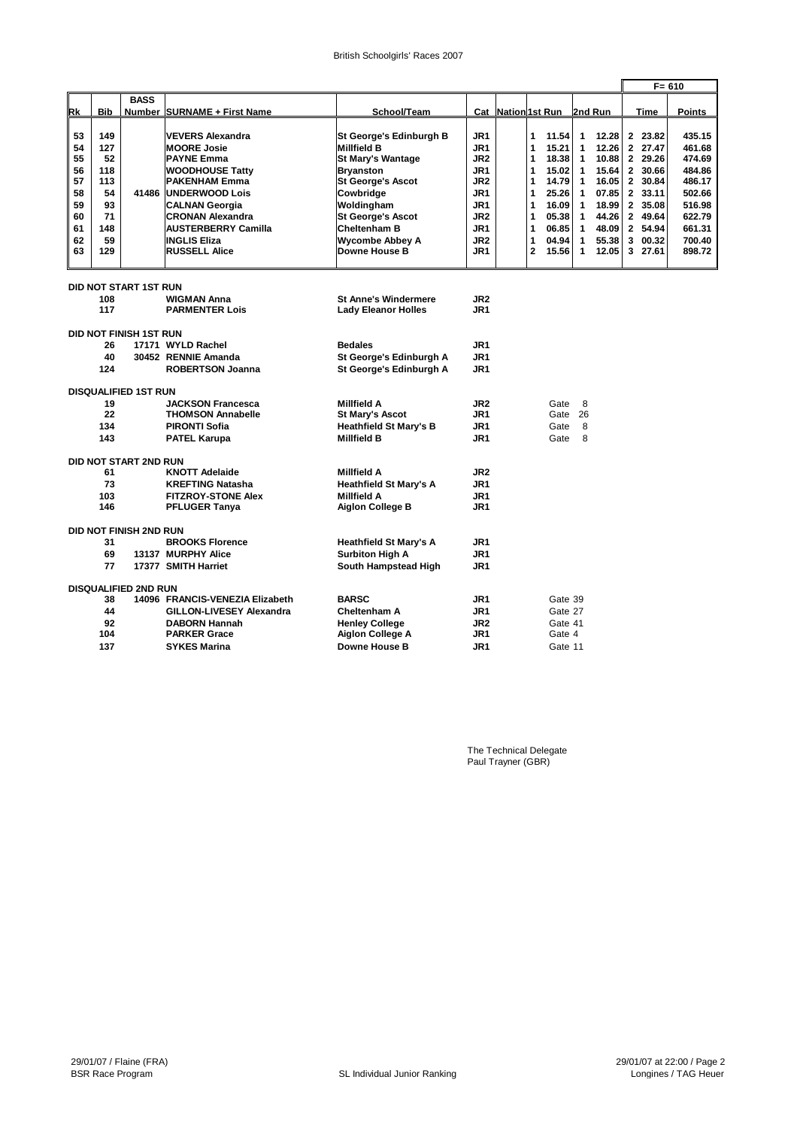|          |            |                               |                                 |                                               |                 |                           |                |         |              |                |                |                    | $F = 610$ |
|----------|------------|-------------------------------|---------------------------------|-----------------------------------------------|-----------------|---------------------------|----------------|---------|--------------|----------------|----------------|--------------------|-----------|
|          |            | <b>BASS</b>                   |                                 |                                               |                 |                           |                |         |              |                |                |                    |           |
| Rk       | <b>Bib</b> |                               | Number SURNAME + First Name     | School/Team                                   |                 | <b>Cat Nation 1st Run</b> |                |         |              | 2nd Run        |                | <b>Time</b>        | Points    |
|          | 149        |                               | <b>VEVERS Alexandra</b>         |                                               | JR1             |                           | 1              | 11.54   |              |                |                |                    | 435.15    |
| 53<br>54 | 127        |                               | <b>MOORE Josie</b>              | St George's Edinburgh B<br><b>Millfield B</b> | JR <sub>1</sub> |                           | 1              | 15.21   | 1<br>1       | 12.28<br>12.26 |                | 2 23.82<br>2 27.47 | 461.68    |
| 55       | 52         |                               | <b>PAYNE Emma</b>               | <b>St Mary's Wantage</b>                      | JR <sub>2</sub> |                           | 1              | 18.38   | $\mathbf{1}$ | 10.88          |                | 2 29.26            | 474.69    |
| 56       | 118        |                               | <b>WOODHOUSE Tatty</b>          | <b>Bryanston</b>                              | JR <sub>1</sub> |                           | 1              | 15.02   | 1            | 15.64          |                | 2 30.66            | 484.86    |
| 57       | 113        |                               | <b>PAKENHAM Emma</b>            | <b>St George's Ascot</b>                      | JR <sub>2</sub> |                           | 1              | 14.79   | 1            | 16.05          |                | 2 30.84            | 486.17    |
| 58       | 54         | 41486                         | <b>IUNDERWOOD Lois</b>          | Cowbridge                                     | JR <sub>1</sub> |                           | 1              | 25.26   | $\mathbf{1}$ | 07.85          |                | 2 33.11            | 502.66    |
| 59       | 93         |                               | <b>CALNAN Georgia</b>           | Woldingham                                    | JR1             |                           | 1              | 16.09   | $\mathbf{1}$ | 18.99          |                | 2 35.08            | 516.98    |
| 60       | 71         |                               | <b>CRONAN Alexandra</b>         | <b>St George's Ascot</b>                      | JR <sub>2</sub> |                           | 1              | 05.38   | $\mathbf{1}$ | 44.26          |                | 2 49.64            | 622.79    |
| 61       | 148        |                               | <b>AUSTERBERRY Camilla</b>      | <b>Cheltenham B</b>                           | JR <sub>1</sub> |                           | 1              | 06.85   | 1            | 48.09          | $\overline{2}$ | 54.94              | 661.31    |
| 62       | 59         |                               | <b>INGLIS Eliza</b>             | <b>Wycombe Abbey A</b>                        | JR <sub>2</sub> |                           | 1              | 04.94   | 1            | 55.38          | 3              | 00.32              | 700.40    |
| 63       | 129        |                               | <b>RUSSELL Alice</b>            | Downe House B                                 | JR1             |                           | $\overline{2}$ | 15.56   | $\mathbf 1$  | 12.05          |                | 3 27.61            | 898.72    |
|          |            | DID NOT START 1ST RUN         |                                 |                                               |                 |                           |                |         |              |                |                |                    |           |
|          | 108        |                               | <b>WIGMAN Anna</b>              | <b>St Anne's Windermere</b>                   | JR <sub>2</sub> |                           |                |         |              |                |                |                    |           |
|          | 117        |                               | <b>PARMENTER Lois</b>           | <b>Lady Eleanor Holles</b>                    | JR1             |                           |                |         |              |                |                |                    |           |
|          |            | <b>DID NOT FINISH 1ST RUN</b> |                                 |                                               |                 |                           |                |         |              |                |                |                    |           |
|          | 26         |                               | 17171 WYLD Rachel               | <b>Bedales</b>                                | JR1             |                           |                |         |              |                |                |                    |           |
|          | 40         |                               | 30452 RENNIE Amanda             | St George's Edinburgh A                       | JR <sub>1</sub> |                           |                |         |              |                |                |                    |           |
|          | 124        |                               | <b>ROBERTSON Joanna</b>         | St George's Edinburgh A                       | JR <sub>1</sub> |                           |                |         |              |                |                |                    |           |
|          |            | <b>DISQUALIFIED 1ST RUN</b>   |                                 |                                               |                 |                           |                |         |              |                |                |                    |           |
|          | 19         |                               | <b>JACKSON Francesca</b>        | <b>Millfield A</b>                            | JR <sub>2</sub> |                           |                | Gate    | 8            |                |                |                    |           |
|          | 22         |                               | <b>THOMSON Annabelle</b>        | <b>St Mary's Ascot</b>                        | JR1             |                           |                | Gate    | 26           |                |                |                    |           |
|          | 134        |                               | <b>PIRONTI Sofia</b>            | <b>Heathfield St Mary's B</b>                 | JR1             |                           |                | Gate    | 8            |                |                |                    |           |
|          | 143        |                               | <b>PATEL Karupa</b>             | <b>Millfield B</b>                            | JR <sub>1</sub> |                           |                | Gate    | 8            |                |                |                    |           |
|          |            | DID NOT START 2ND RUN         |                                 |                                               |                 |                           |                |         |              |                |                |                    |           |
|          | 61         |                               | <b>KNOTT Adelaide</b>           | <b>Millfield A</b>                            | JR <sub>2</sub> |                           |                |         |              |                |                |                    |           |
|          | 73         |                               | <b>KREFTING Natasha</b>         | <b>Heathfield St Mary's A</b>                 | JR <sub>1</sub> |                           |                |         |              |                |                |                    |           |
|          | 103        |                               | <b>FITZROY-STONE Alex</b>       | <b>Millfield A</b>                            | JR1             |                           |                |         |              |                |                |                    |           |
|          | 146        |                               | <b>PFLUGER Tanya</b>            | Aiglon College B                              | JR <sub>1</sub> |                           |                |         |              |                |                |                    |           |
|          |            | DID NOT FINISH 2ND RUN        |                                 |                                               |                 |                           |                |         |              |                |                |                    |           |
|          | 31         |                               | <b>BROOKS Florence</b>          | <b>Heathfield St Mary's A</b>                 | JR1             |                           |                |         |              |                |                |                    |           |
|          | 69         |                               | 13137 MURPHY Alice              | <b>Surbiton High A</b>                        | JR <sub>1</sub> |                           |                |         |              |                |                |                    |           |
|          | 77         |                               | 17377 SMITH Harriet             | South Hampstead High                          | JR1             |                           |                |         |              |                |                |                    |           |
|          |            | <b>DISQUALIFIED 2ND RUN</b>   |                                 |                                               |                 |                           |                |         |              |                |                |                    |           |
|          | 38         |                               | 14096 FRANCIS-VENEZIA Elizabeth | <b>BARSC</b>                                  | JR1             |                           |                | Gate 39 |              |                |                |                    |           |
|          | 44         |                               | <b>GILLON-LIVESEY Alexandra</b> | <b>Cheltenham A</b>                           | JR1             |                           |                | Gate 27 |              |                |                |                    |           |
|          | 92         |                               | <b>DABORN Hannah</b>            | <b>Henley College</b>                         | JR <sub>2</sub> |                           |                | Gate 41 |              |                |                |                    |           |
|          | 104        |                               | <b>PARKER Grace</b>             | Aiglon College A                              | JR1             |                           |                | Gate 4  |              |                |                |                    |           |
|          | 137        |                               | <b>SYKES Marina</b>             | <b>Downe House B</b>                          | JR1             |                           |                | Gate 11 |              |                |                |                    |           |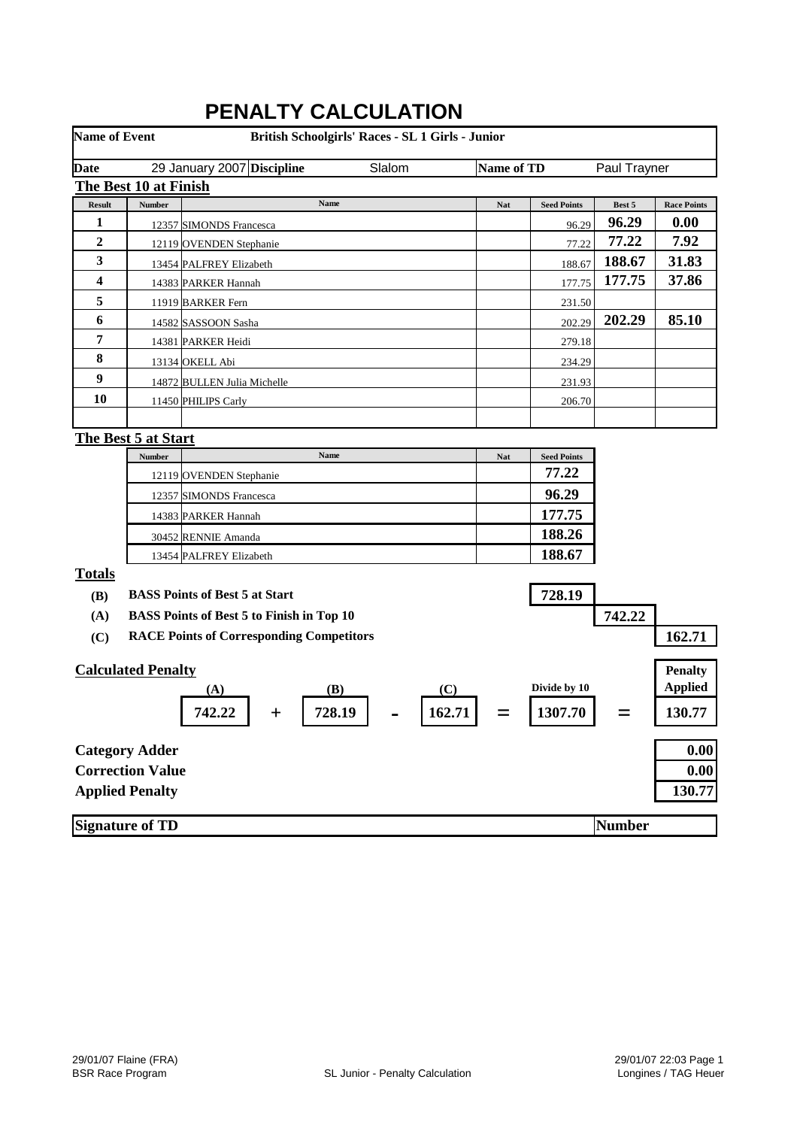|                      |                            | FENALI I VALVULATIVN                             |            |                    |               |                    |
|----------------------|----------------------------|--------------------------------------------------|------------|--------------------|---------------|--------------------|
| <b>Name of Event</b> |                            | British Schoolgirls' Races - SL 1 Girls - Junior |            |                    |               |                    |
| <b>Date</b>          |                            | 29 January 2007 Discipline<br>Slalom             | Name of TD |                    | Paul Trayner  |                    |
|                      | The Best 10 at Finish      |                                                  |            |                    |               |                    |
| <b>Result</b>        | <b>Number</b>              | Name                                             | Nat        | <b>Seed Points</b> | Best 5        | <b>Race Points</b> |
| 1                    |                            | 12357 SIMONDS Francesca                          |            | 96.29              | 96.29         | 0.00               |
| $\mathbf{2}$         |                            | 12119 OVENDEN Stephanie                          |            | 77.22              | 77.22         | 7.92               |
| 3                    |                            | 13454 PALFREY Elizabeth                          |            | 188.67             | 188.67        | 31.83              |
| 4                    |                            | 14383 PARKER Hannah                              |            | 177.75             | 177.75        | 37.86              |
| 5                    |                            | 11919 BARKER Fern                                |            | 231.50             |               |                    |
| 6                    |                            | 14582 SASSOON Sasha                              |            | 202.29             | 202.29        | 85.10              |
| 7                    |                            | 14381 PARKER Heidi                               |            | 279.18             |               |                    |
| 8                    |                            | 13134 OKELL Abi                                  |            | 234.29             |               |                    |
| 9                    |                            | 14872 BULLEN Julia Michelle                      |            | 231.93             |               |                    |
| 10                   |                            | 11450 PHILIPS Carly                              |            | 206.70             |               |                    |
|                      |                            |                                                  |            |                    |               |                    |
|                      | <b>The Best 5 at Start</b> |                                                  |            |                    |               |                    |
|                      | <b>Number</b>              | Name                                             | <b>Nat</b> | <b>Seed Points</b> |               |                    |
|                      |                            | 12119 OVENDEN Stephanie                          |            | 77.22              |               |                    |
|                      |                            | 12357 SIMONDS Francesca                          |            | 96.29              |               |                    |
|                      |                            | 14383 PARKER Hannah                              |            | 177.75             |               |                    |
|                      |                            | 30452 RENNIE Amanda                              |            | 188.26             |               |                    |
|                      |                            | 13454 PALFREY Elizabeth                          |            | 188.67             |               |                    |
| <b>Totals</b>        |                            |                                                  |            |                    |               |                    |
| <b>(B)</b>           |                            | <b>BASS Points of Best 5 at Start</b>            |            | 728.19             |               |                    |
| (A)                  |                            | <b>BASS Points of Best 5 to Finish in Top 10</b> |            |                    | 742.22        |                    |
| (C)                  |                            | <b>RACE Points of Corresponding Competitors</b>  |            |                    |               | 162.71             |
|                      |                            |                                                  |            |                    |               |                    |
|                      | <b>Calculated Penalty</b>  |                                                  |            |                    |               | <b>Penalty</b>     |
|                      |                            | (B)<br>(C)<br>(A)                                |            | Divide by 10       |               | <b>Applied</b>     |
|                      |                            | 742.22<br>728.19<br>162.71                       |            | 1307.70            |               | 130.77             |
|                      | <b>Category Adder</b>      |                                                  |            |                    |               | 0.00               |
|                      | <b>Correction Value</b>    |                                                  |            |                    |               | 0.00               |
|                      | <b>Applied Penalty</b>     |                                                  |            |                    |               | 130.77             |
|                      |                            |                                                  |            |                    |               |                    |
|                      | <b>Signature of TD</b>     |                                                  |            |                    | <b>Number</b> |                    |

## **PENALTY CALCULATION**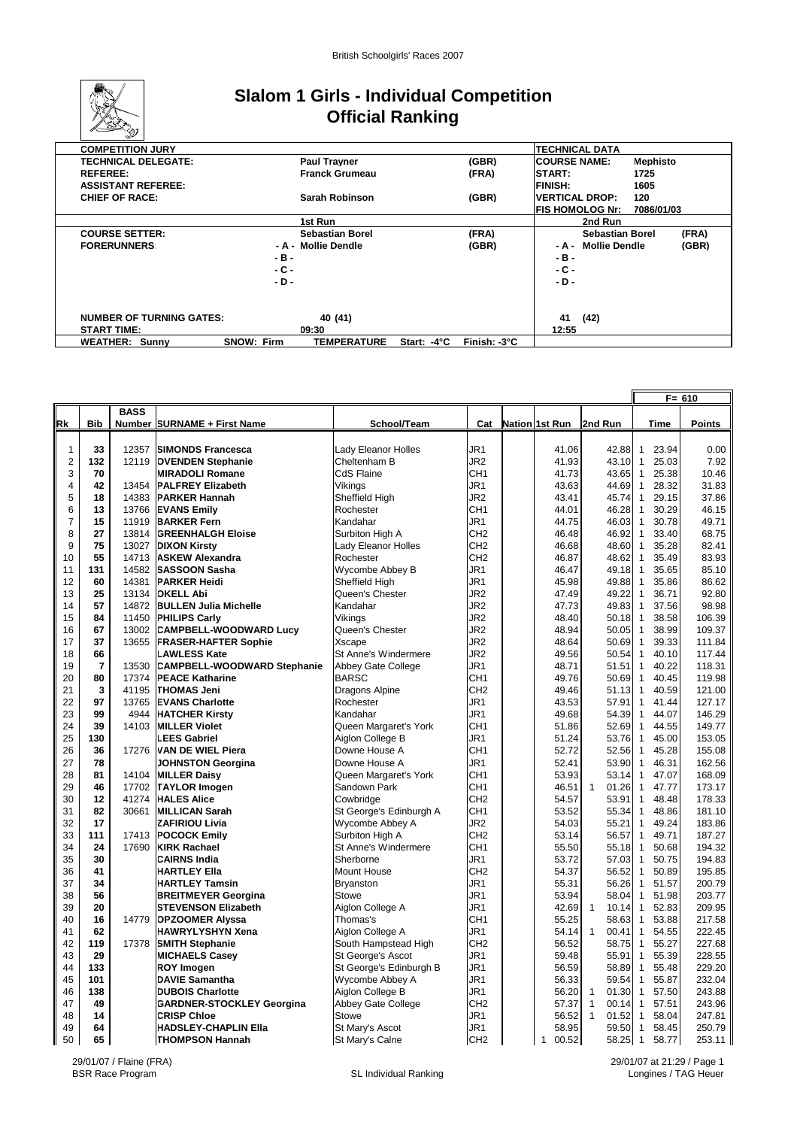

## **Slalom 1 Girls - Individual Competition Official Ranking**

| <b>COMPETITION JURY</b>         |                   |                        |                       |              |                        | <b>TECHNICAL DATA</b>  |                 |       |
|---------------------------------|-------------------|------------------------|-----------------------|--------------|------------------------|------------------------|-----------------|-------|
| <b>TECHNICAL DELEGATE:</b>      |                   | <b>Paul Trayner</b>    |                       | (GBR)        | <b>ICOURSE NAME:</b>   |                        | <b>Mephisto</b> |       |
| <b>REFEREE:</b>                 |                   | <b>Franck Grumeau</b>  |                       | (FRA)        | <b>START:</b>          |                        | 1725            |       |
| <b>ASSISTANT REFEREE:</b>       |                   |                        |                       |              | <b>FINISH:</b>         |                        | 1605            |       |
| <b>CHIEF OF RACE:</b>           |                   | Sarah Robinson         |                       | (GBR)        | <b>IVERTICAL DROP:</b> |                        | 120             |       |
|                                 |                   |                        |                       |              |                        | <b>FIS HOMOLOG Nr:</b> | 7086/01/03      |       |
|                                 |                   | 1st Run                |                       |              |                        | 2nd Run                |                 |       |
| <b>COURSE SETTER:</b>           |                   | <b>Sebastian Borel</b> |                       | (FRA)        |                        | <b>Sebastian Borel</b> |                 | (FRA) |
| <b>FORERUNNERS</b>              |                   | - A - Mollie Dendle    |                       | (GBR)        | - A -                  | <b>Mollie Dendle</b>   |                 | (GBR) |
|                                 | -в-               |                        |                       |              | $-B -$                 |                        |                 |       |
|                                 | . с -             |                        |                       |              | - C -                  |                        |                 |       |
|                                 | - D -             |                        |                       |              | $-D -$                 |                        |                 |       |
|                                 |                   |                        |                       |              |                        |                        |                 |       |
|                                 |                   |                        |                       |              |                        |                        |                 |       |
| <b>NUMBER OF TURNING GATES:</b> |                   | 40 (41)                |                       |              | 41                     | (42)                   |                 |       |
| <b>START TIME:</b>              |                   | 09:30                  |                       |              | 12:55                  |                        |                 |       |
| <b>WEATHER: Sunny</b>           | <b>SNOW: Firm</b> | <b>TEMPERATURE</b>     | Start: $-4^{\circ}$ C | Finish: -3°C |                        |                        |                 |       |

|                |                |             |                                    |                            |                 |                       |                       |                         | $F = 610$     |
|----------------|----------------|-------------|------------------------------------|----------------------------|-----------------|-----------------------|-----------------------|-------------------------|---------------|
|                |                | <b>BASS</b> |                                    |                            |                 |                       |                       |                         |               |
| <u>Rk</u>      | <b>Bib</b>     |             | Number SURNAME + First Name        | School/Team                | Cat             | Nation 1st Run        | 2nd Run               | <b>Time</b>             | <b>Points</b> |
|                |                |             |                                    |                            |                 |                       |                       |                         |               |
| 1              | 33             | 12357       | <b>SIMONDS Francesca</b>           | Lady Eleanor Holles        | JR <sub>1</sub> | 41.06                 | 42.88                 | $\mathbf{1}$<br>23.94   | 0.00          |
| $\overline{c}$ | 132            | 12119       | <b>OVENDEN Stephanie</b>           | Cheltenham B               | JR <sub>2</sub> | 41.93                 | 43.10                 | $\mathbf{1}$<br>25.03   | 7.92          |
| 3              | 70             |             | <b>MIRADOLI Romane</b>             | <b>CdS Flaine</b>          | CH <sub>1</sub> | 41.73                 | 43.65                 | $\mathbf{1}$<br>25.38   | 10.46         |
| 4              | 42             | 13454       | <b>PALFREY Elizabeth</b>           | Vikings                    | JR1             | 43.63                 | 44.69                 | 28.32<br>$\mathbf{1}$   | 31.83         |
| 5              | 18             | 14383       | <b>PARKER Hannah</b>               | Sheffield High             | JR2             | 43.41                 | 45.74                 | 29.15<br>$\overline{1}$ | 37.86         |
| 6              | 13             | 13766       | <b>EVANS Emily</b>                 | Rochester                  | CH1             | 44.01                 | 46.28                 | $\mathbf{1}$<br>30.29   | 46.15         |
| $\overline{7}$ | 15             | 11919       | <b>BARKER Fern</b>                 | Kandahar                   | JR1             | 44.75                 | 46.03                 | 30.78<br>$\mathbf{1}$   | 49.71         |
| 8              | 27             | 13814       | <b>GREENHALGH Eloise</b>           | Surbiton High A            | CH <sub>2</sub> | 46.48                 | 46.92                 | 33.40<br>$\overline{1}$ | 68.75         |
| 9              | 75             | 13027       | <b>DIXON Kirsty</b>                | <b>Lady Eleanor Holles</b> | CH <sub>2</sub> | 46.68                 | 48.60                 | 35.28<br>$\mathbf{1}$   | 82.41         |
| 10             | 55             |             | 14713   ASKEW Alexandra            | Rochester                  | CH <sub>2</sub> | 46.87                 | 48.62                 | 35.49<br>$\mathbf{1}$   | 83.93         |
| 11             | 131            | 14582       | <b>SASSOON Sasha</b>               | Wycombe Abbey B            | JR1             | 46.47                 | 49.18                 | $\overline{1}$<br>35.65 | 85.10         |
| 12             | 60             | 14381       | <b>PARKER Heidi</b>                | Sheffield High             | JR1             | 45.98                 | 49.88                 | $\overline{1}$<br>35.86 | 86.62         |
| 13             | 25             | 13134       | <b>OKELL Abi</b>                   | Queen's Chester            | JR <sub>2</sub> | 47.49                 | 49.22                 | 36.71<br>$\overline{1}$ | 92.80         |
| 14             | 57             | 14872       | <b>BULLEN Julia Michelle</b>       | Kandahar                   | JR <sub>2</sub> | 47.73                 | 49.83                 | 37.56<br>$\mathbf{1}$   | 98.98         |
| 15             | 84             | 11450       | <b>PHILIPS Carly</b>               | Vikings                    | JR <sub>2</sub> | 48.40                 | 50.18                 | 38.58<br>$\overline{1}$ | 106.39        |
| 16             | 67             | 13002       | <b>CAMPBELL-WOODWARD Lucy</b>      | Queen's Chester            | JR <sub>2</sub> | 48.94                 | 50.05                 | $\overline{1}$<br>38.99 | 109.37        |
| 17             | 37             | 13655       | <b>FRASER-HAFTER Sophie</b>        | Xscape                     | JR2             | 48.64                 | 50.69                 | $\mathbf{1}$<br>39.33   | 111.84        |
| 18             | 66             |             | <b>LAWLESS Kate</b>                | St Anne's Windermere       | JR <sub>2</sub> | 49.56                 | 50.54                 | 40.10<br>$\overline{1}$ | 117.44        |
| 19             | $\overline{7}$ | 13530       | <b>CAMPBELL-WOODWARD Stephanie</b> | Abbey Gate College         | JR1             | 48.71                 | 51.51                 | $\mathbf{1}$<br>40.22   | 118.31        |
| 20             | 80             | 17374       | <b>PEACE Katharine</b>             | <b>BARSC</b>               | CH <sub>1</sub> | 49.76                 | 50.69                 | 40.45<br>$\mathbf{1}$   | 119.98        |
| 21             | 3              | 41195       | <b>THOMAS Jeni</b>                 | Dragons Alpine             | CH <sub>2</sub> | 49.46                 | 51.13                 | 40.59<br>$\overline{1}$ | 121.00        |
| 22             | 97             | 13765       | <b>EVANS Charlotte</b>             | Rochester                  | JR1             | 43.53                 | 57.91                 | 41.44<br>$\mathbf{1}$   | 127.17        |
| 23             | 99             | 4944        | <b>HATCHER Kirsty</b>              | Kandahar                   | JR1             | 49.68                 | 54.39                 | 44.07<br>$\mathbf{1}$   | 146.29        |
| 24             | 39             | 14103       | <b>MILLER Violet</b>               | Queen Margaret's York      | CH <sub>1</sub> | 51.86                 | 52.69                 | 44.55<br>$\overline{1}$ | 149.77        |
| 25             | 130            |             | <b>LEES Gabriel</b>                | Aiglon College B           | JR <sub>1</sub> | 51.24                 | 53.76                 | 45.00<br>$\overline{1}$ | 153.05        |
| 26             | 36             | 17276       | <b>VAN DE WIEL Piera</b>           | Downe House A              | CH <sub>1</sub> | 52.72                 | 52.56                 | 45.28<br>$\mathbf{1}$   | 155.08        |
| 27             | 78             |             | <b>JOHNSTON Georgina</b>           | Downe House A              | JR1             | 52.41                 | 53.90                 | 46.31<br>$\mathbf{1}$   | 162.56        |
| 28             | 81             | 14104       | <b>MILLER Daisy</b>                | Queen Margaret's York      | CH <sub>1</sub> | 53.93                 | 53.14                 | $\mathbf{1}$<br>47.07   | 168.09        |
| 29             | 46             | 17702       | <b>TAYLOR Imogen</b>               | Sandown Park               | CH1             | 46.51                 | $\mathbf{1}$<br>01.26 | 47.77<br>$\overline{1}$ | 173.17        |
| 30             | 12             | 41274       | <b>HALES Alice</b>                 | Cowbridge                  | CH <sub>2</sub> | 54.57                 | 53.91                 | $\mathbf{1}$<br>48.48   | 178.33        |
| 31             | 82             | 30661       | <b>MILLICAN Sarah</b>              | St George's Edinburgh A    | CH <sub>1</sub> | 53.52                 | 55.34                 | 48.86<br>$\mathbf{1}$   | 181.10        |
| 32             | 17             |             | <b>ZAFIRIOU Livia</b>              | Wycombe Abbey A            | JR <sub>2</sub> | 54.03                 | 55.21                 | 49.24<br>$\mathbf{1}$   | 183.86        |
| 33             | 111            | 17413       | <b>POCOCK Emily</b>                | Surbiton High A            | CH <sub>2</sub> | 53.14                 | 56.57                 | $\mathbf{1}$<br>49.71   | 187.27        |
| 34             | 24             | 17690       | <b>KIRK Rachael</b>                | St Anne's Windermere       | CH <sub>1</sub> | 55.50                 | 55.18                 | $\overline{1}$<br>50.68 | 194.32        |
| 35             | 30             |             | <b>CAIRNS India</b>                | Sherborne                  | JR1             | 53.72                 | 57.03                 | $\mathbf{1}$<br>50.75   | 194.83        |
| 36             | 41             |             | <b>HARTLEY Ella</b>                | Mount House                | CH <sub>2</sub> | 54.37                 | 56.52                 | $\mathbf{1}$<br>50.89   | 195.85        |
| 37             | 34             |             | <b>HARTLEY Tamsin</b>              | Bryanston                  | JR1             | 55.31                 | 56.26                 | $\mathbf{1}$<br>51.57   | 200.79        |
| 38             | 56             |             | <b>BREITMEYER Georgina</b>         | <b>Stowe</b>               | JR1             | 53.94                 | 58.04                 | 51.98<br>$\mathbf{1}$   | 203.77        |
| 39             | 20             |             | <b>STEVENSON Elizabeth</b>         | Aiglon College A           | JR1             | 42.69                 | $\mathbf{1}$<br>10.14 | 52.83<br>$\mathbf{1}$   | 209.95        |
| 40             | 16             | 14779       | <b>OPZOOMER Alyssa</b>             | Thomas's                   | CH1             | 55.25                 | 58.63                 | 53.88<br>$\mathbf{1}$   | 217.58        |
| 41             | 62             |             | <b>HAWRYLYSHYN Xena</b>            | Aiglon College A           | JR1             | 54.14                 | $\mathbf{1}$<br>00.41 | $\mathbf{1}$<br>54.55   | 222.45        |
| 42             | 119            | 17378       | <b>SMITH Stephanie</b>             | South Hampstead High       | CH <sub>2</sub> | 56.52                 | 58.75                 | 55.27<br>$\mathbf{1}$   | 227.68        |
| 43             | 29             |             | <b>MICHAELS Casey</b>              | St George's Ascot          | JR1             | 59.48                 | 55.91                 | $\mathbf{1}$<br>55.39   | 228.55        |
| 44             | 133            |             | <b>ROY Imogen</b>                  | St George's Edinburgh B    | JR <sub>1</sub> | 56.59                 | 58.89                 | 55.48<br>$\mathbf{1}$   | 229.20        |
| 45             | 101            |             | <b>DAVIE Samantha</b>              | Wycombe Abbey A            | JR1             | 56.33                 | 59.54                 | $\mathbf{1}$<br>55.87   | 232.04        |
| 46             | 138            |             | <b>DUBOIS Charlotte</b>            | Aiglon College B           | JR1             | 56.20                 | 01.30<br>1            | $\mathbf{1}$<br>57.50   | 243.88        |
| 47             | 49             |             | <b>GARDNER-STOCKLEY Georgina</b>   | Abbey Gate College         | CH <sub>2</sub> | 57.37                 | 1<br>00.14            | 57.51<br>$\overline{1}$ | 243.96        |
| 48             | 14             |             | <b>CRISP Chloe</b>                 | <b>Stowe</b>               | JR <sub>1</sub> | 56.52                 | 01.52<br>1            | 58.04<br>$\mathbf{1}$   | 247.81        |
| 49             | 64             |             | <b>HADSLEY-CHAPLIN Ella</b>        | St Mary's Ascot            | JR1             | 58.95                 | 59.50                 | $\overline{1}$<br>58.45 | 250.79        |
| 50             | 65             |             | <b>THOMPSON Hannah</b>             | St Mary's Calne            | CH <sub>2</sub> | 00.52<br>$\mathbf{1}$ | 58.25 1               | 58.77                   | 253.11        |

29/01/07 / Flaine (FRA)

29/01/07 at 21:29 / Page 1 Longines / TAG Heuer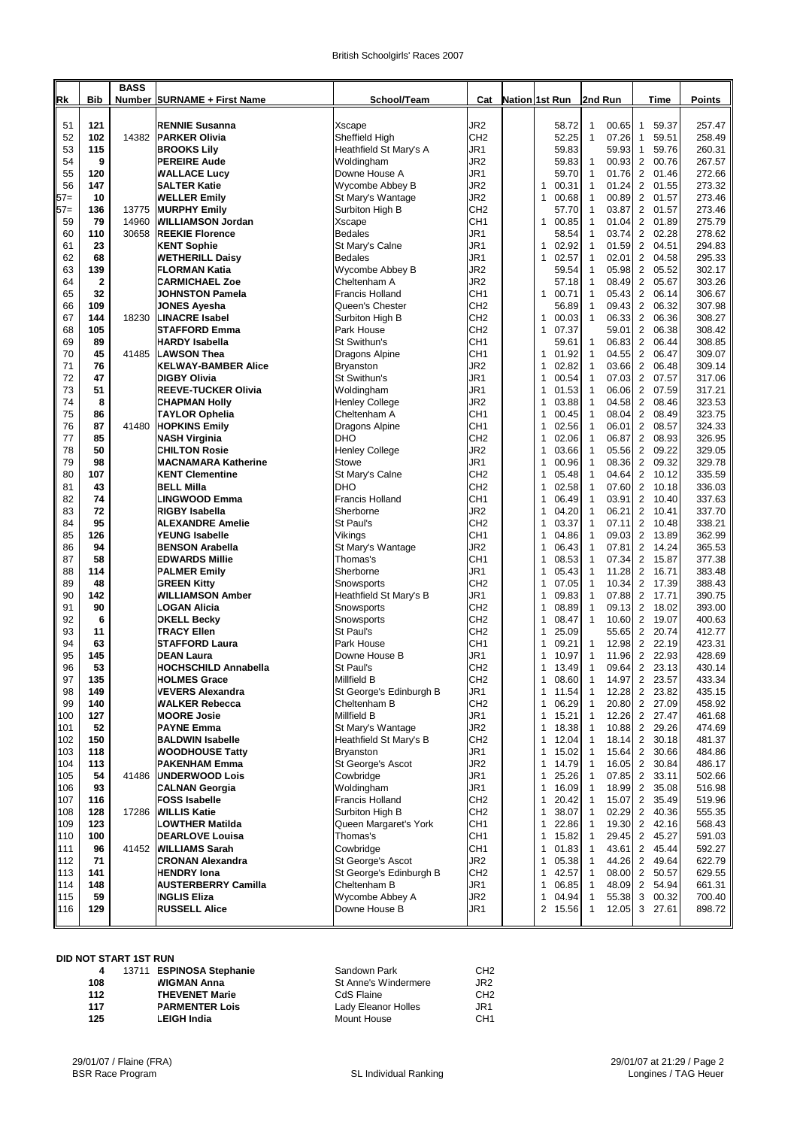|            |            | <b>BASS</b> |                                                |                                              |                                    |                                     |                                                |                                                    |                  |
|------------|------------|-------------|------------------------------------------------|----------------------------------------------|------------------------------------|-------------------------------------|------------------------------------------------|----------------------------------------------------|------------------|
| Rk         | <b>Bib</b> |             | Number SURNAME + First Name                    | School/Team                                  | Cat                                | Nation 1st Run                      | 2nd Run                                        | Time                                               | Points           |
| 51         | 121        |             | <b>RENNIE Susanna</b>                          | Xscape                                       | JR <sub>2</sub>                    | 58.72                               | 1<br>00.65                                     | $\mathbf{1}$<br>59.37                              | 257.47           |
| 52         | 102        | 14382       | <b>PARKER Olivia</b>                           | Sheffield High                               | CH <sub>2</sub>                    | 52.25                               | $\mathbf{1}$<br>07.26                          | 59.51<br>1                                         | 258.49           |
| 53         | 115        |             | <b>BROOKS Lily</b>                             | Heathfield St Mary's A                       | JR1                                | 59.83                               | 59.93                                          | 59.76<br>1                                         | 260.31           |
| 54         | 9          |             | <b>PEREIRE Aude</b>                            | Woldingham                                   | JR2                                | 59.83                               | 00.93<br>1                                     | 2<br>00.76                                         | 267.57           |
| 55<br>56   | 120<br>147 |             | <b>WALLACE Lucy</b><br><b>SALTER Katie</b>     | Downe House A                                | JR1<br>JR2                         | 59.70<br>$\mathbf{1}$<br>00.31      | $\mathbf{1}$<br>01.76<br>01.24<br>1            | $\overline{2}$<br>01.46<br>2<br>01.55              | 272.66<br>273.32 |
| $57=$      | 10         |             | <b>WELLER Emily</b>                            | Wycombe Abbey B<br>St Mary's Wantage         | JR2                                | 1<br>00.68                          | $\mathbf{1}$<br>00.89                          | 2<br>01.57                                         | 273.46           |
| $57=$      | 136        | 13775       | <b>MURPHY Emily</b>                            | Surbiton High B                              | CH <sub>2</sub>                    | 57.70                               | $\mathbf{1}$<br>03.87                          | $\overline{\mathbf{c}}$<br>01.57                   | 273.46           |
| 59         | 79         | 14960       | <b>WILLIAMSON Jordan</b>                       | Xscape                                       | CH <sub>1</sub>                    | 00.85<br>1                          | $\mathbf{1}$<br>01.04                          | $\overline{2}$<br>01.89                            | 275.79           |
| 60         | 110        | 30658       | <b>REEKIE Florence</b>                         | <b>Bedales</b>                               | JR1                                | 58.54                               | 03.74<br>1                                     | $\overline{c}$<br>02.28                            | 278.62           |
| 61         | 23         |             | <b>KENT Sophie</b>                             | St Mary's Calne                              | JR1                                | 02.92<br>1                          | $\mathbf{1}$<br>01.59                          | $\overline{c}$<br>04.51                            | 294.83           |
| 62<br>63   | 68<br>139  |             | <b>WETHERILL Daisy</b><br><b>FLORMAN Katia</b> | <b>Bedales</b><br>Wycombe Abbey B            | JR1<br>JR2                         | $\mathbf{1}$<br>02.57<br>59.54      | $\mathbf{1}$<br>02.01<br>$\mathbf{1}$<br>05.98 | $\mathbf{2}$<br>04.58<br>$\overline{2}$<br>05.52   | 295.33<br>302.17 |
| 64         | 2          |             | <b>CARMICHAEL Zoe</b>                          | Cheltenham A                                 | JR2                                | 57.18                               | 08.49<br>1                                     | 2<br>05.67                                         | 303.26           |
| 65         | 32         |             | <b>JOHNSTON Pamela</b>                         | <b>Francis Holland</b>                       | CH <sub>1</sub>                    | 1<br>00.71                          | $\mathbf{1}$<br>05.43                          | $\overline{2}$<br>06.14                            | 306.67           |
| 66         | 109        |             | <b>JONES Ayesha</b>                            | Queen's Chester                              | CH <sub>2</sub>                    | 56.89                               | $\mathbf{1}$<br>09.43                          | $\overline{2}$<br>06.32                            | 307.98           |
| 67         | 144        | 18230       | <b>LINACRE Isabel</b>                          | Surbiton High B                              | CH <sub>2</sub>                    | 00.03<br>1                          | $\mathbf{1}$<br>06.33                          | 2<br>06.36                                         | 308.27           |
| 68         | 105        |             | <b>STAFFORD Emma</b>                           | Park House                                   | CH <sub>2</sub>                    | $\mathbf{1}$<br>07.37               | 59.01                                          | $\overline{\mathbf{c}}$<br>06.38                   | 308.42           |
| 69<br>70   | 89<br>45   | 41485       | <b>HARDY Isabella</b><br><b>LAWSON Thea</b>    | St Swithun's                                 | CH <sub>1</sub><br>CH <sub>1</sub> | 59.61<br>1<br>01.92                 | 06.83<br>1<br>$\mathbf{1}$<br>04.55            | $\overline{2}$<br>06.44<br>2<br>06.47              | 308.85<br>309.07 |
| 71         | 76         |             | <b>KELWAY-BAMBER Alice</b>                     | Dragons Alpine<br><b>Bryanston</b>           | JR2                                | 1<br>02.82                          | $\mathbf{1}$<br>03.66                          | $\overline{c}$<br>06.48                            | 309.14           |
| 72         | 47         |             | <b>DIGBY Olivia</b>                            | St Swithun's                                 | JR1                                | 1<br>00.54                          | $\mathbf{1}$<br>07.03                          | $\overline{\mathbf{c}}$<br>07.57                   | 317.06           |
| 73         | 51         |             | <b>REEVE-TUCKER Olivia</b>                     | Woldingham                                   | JR1                                | 01.53<br>1                          | $\mathbf{1}$<br>06.06                          | $\overline{2}$<br>07.59                            | 317.21           |
| 74         | 8          |             | <b>CHAPMAN Holly</b>                           | Henley College                               | JR2                                | 03.88<br>1                          | $\mathbf{1}$<br>04.58                          | 2<br>08.46                                         | 323.53           |
| 75         | 86         |             | <b>TAYLOR Ophelia</b>                          | Cheltenham A                                 | CH <sub>1</sub>                    | 1<br>00.45                          | $\mathbf{1}$<br>08.04                          | $\overline{c}$<br>08.49                            | 323.75           |
| 76         | 87         | 41480       | <b>HOPKINS Emily</b>                           | Dragons Alpine                               | CH <sub>1</sub>                    | 02.56<br>1                          | $\mathbf{1}$<br>06.01                          | $\mathbf{2}$<br>08.57                              | 324.33           |
| 77         | 85         |             | <b>NASH Virginia</b>                           | DHO                                          | CH <sub>2</sub>                    | 1<br>02.06                          | $\mathbf{1}$<br>06.87                          | $\overline{2}$<br>08.93                            | 326.95           |
| 78<br>79   | 50<br>98   |             | <b>ICHILTON Rosie</b><br>IMACNAMARA Katherine  | <b>Henley College</b><br>Stowe               | JR2<br>JR1                         | 03.66<br>1<br>00.96<br>1            | $\mathbf{1}$<br>05.56<br>$\mathbf{1}$<br>08.36 | 2<br>09.22<br>$\overline{2}$<br>09.32              | 329.05<br>329.78 |
| 80         | 107        |             | <b>KENT Clementine</b>                         | St Mary's Calne                              | CH <sub>2</sub>                    | 1<br>05.48                          | $\mathbf{1}$<br>04.64                          | $\overline{2}$<br>10.12                            | 335.59           |
| 81         | 43         |             | <b>BELL Milla</b>                              | DHO                                          | CH <sub>2</sub>                    | 02.58<br>1                          | $\mathbf{1}$<br>07.60                          | $\overline{c}$<br>10.18                            | 336.03           |
| 82         | 74         |             | <b>LINGWOOD Emma</b>                           | <b>Francis Holland</b>                       | CH <sub>1</sub>                    | 06.49<br>1                          | 03.91<br>1                                     | 2<br>10.40                                         | 337.63           |
| 83         | 72         |             | RIGBY Isabella                                 | Sherborne                                    | JR <sub>2</sub>                    | 04.20<br>1                          | $\mathbf{1}$<br>06.21                          | $\overline{2}$<br>10.41                            | 337.70           |
| 84         | 95         |             | <b>ALEXANDRE Amelie</b>                        | St Paul's                                    | CH <sub>2</sub>                    | 03.37<br>1                          | $\mathbf{1}$<br>07.11                          | $\overline{2}$<br>10.48                            | 338.21           |
| 85         | 126        |             | <b>YEUNG Isabelle</b>                          | Vikings                                      | CH <sub>1</sub>                    | 04.86<br>1                          | $\mathbf{1}$<br>09.03                          | 2<br>13.89                                         | 362.99           |
| 86<br>87   | 94<br>58   |             | <b>BENSON Arabella</b>                         | St Mary's Wantage                            | JR <sub>2</sub>                    | 06.43<br>1<br>1                     | 07.81<br>1<br>$\mathbf{1}$                     | $\overline{\mathbf{c}}$<br>14.24                   | 365.53           |
| 88         | 114        |             | <b>EDWARDS Millie</b><br><b>PALMER Emily</b>   | Thomas's<br>Sherborne                        | CH <sub>1</sub><br>JR1             | 08.53<br>05.43<br>1                 | 07.34<br>11.28<br>1                            | $\overline{2}$<br>15.87<br>$\overline{2}$<br>16.71 | 377.38<br>383.48 |
| 89         | 48         |             | <b>GREEN Kitty</b>                             | Snowsports                                   | CH <sub>2</sub>                    | 07.05<br>1                          | $\mathbf{1}$<br>10.34                          | 2<br>17.39                                         | 388.43           |
| 90         | 142        |             | <b>WILLIAMSON Amber</b>                        | Heathfield St Mary's B                       | JR1                                | $\mathbf{1}$<br>09.83               | $\mathbf{1}$<br>07.88                          | $\overline{2}$<br>17.71                            | 390.75           |
| 91         | 90         |             | LOGAN Alicia                                   | Snowsports                                   | CH <sub>2</sub>                    | 08.89<br>1                          | $\mathbf{1}$<br>09.13                          | $\overline{2}$<br>18.02                            | 393.00           |
| 92         | 6          |             | <b>OKELL Becky</b>                             | Snowsports                                   | CH <sub>2</sub>                    | 08.47<br>1                          | 1<br>10.60                                     | 2<br>19.07                                         | 400.63           |
| 93         | 11         |             | <b>TRACY Ellen</b>                             | St Paul's                                    | CH <sub>2</sub>                    | 25.09<br>1                          | 55.65                                          | $\overline{2}$<br>20.74                            | 412.77           |
| 94         | 63         |             | <b>STAFFORD Laura</b>                          | Park House                                   | CH <sub>1</sub>                    | 09.21<br>1                          | 12.98<br>1                                     | 2<br>22.19                                         | 423.31           |
| 95<br>96   | 145<br>53  |             | <b>DEAN Laura</b>                              | Downe House B<br>St Paul's                   | JR1<br>CH <sub>2</sub>             | 10.97<br>1<br>13.49<br>1            | $\mathbf{1}$<br>11.96<br>09.64<br>1            | $\overline{2}$<br>22.93<br>23.13                   | 428.69<br>430.14 |
| 97         | 135        |             | HOCHSCHILD Annabella<br><b>HOLMES Grace</b>    | Millfield B                                  | CH2                                | 1<br>08.60                          | 14.97<br>1                                     | $\overline{2}$<br>2<br>23.57                       | 433.34           |
| 98         | 149        |             | <b>VEVERS Alexandra</b>                        | St George's Edinburgh B                      | JR1                                | 1<br>11.54                          | 12.28<br>1                                     | $\overline{2}$<br>23.82                            | 435.15           |
| 99         | 140        |             | <b>WALKER Rebecca</b>                          | Cheltenham B                                 | CH <sub>2</sub>                    | 06.29<br>1                          | 20.80<br>1                                     | $\overline{2}$<br>27.09                            | 458.92           |
| 100        | 127        |             | <b>MOORE Josie</b>                             | <b>Millfield B</b>                           | JR1                                | 1<br>15.21                          | 12.26<br>1                                     | $\overline{2}$<br>27.47                            | 461.68           |
| 101        | 52         |             | <b>PAYNE Emma</b>                              | St Mary's Wantage                            | JR2                                | 18.38<br>1                          | 10.88 2<br>1                                   | 29.26                                              | 474.69           |
| 102        | 150        |             | <b>BALDWIN Isabelle</b>                        | Heathfield St Mary's B                       | CH <sub>2</sub>                    | $\mathbf{1}$<br>12.04               | 1<br>18.14                                     | $\overline{2}$<br>30.18                            | 481.37           |
| 103        | 118        |             | <b>WOODHOUSE Tatty</b>                         | Bryanston                                    | JR1                                | 15.02<br>1                          | 15.64<br>1                                     | $\overline{2}$<br>30.66                            | 484.86           |
| 104<br>105 | 113<br>54  | 41486       | <b>PAKENHAM Emma</b><br><b>UNDERWOOD Lois</b>  | St George's Ascot<br>Cowbridge               | JR2<br>JR1                         | $\mathbf{1}$<br>14.79<br>1<br>25.26 | $16.05$ 2<br>1<br>07.85 2<br>1                 | 30.84<br>33.11                                     | 486.17<br>502.66 |
| 106        | 93         |             | <b>CALNAN Georgia</b>                          | Woldingham                                   | JR1                                | 1<br>16.09                          | 18.99<br>1                                     | $\overline{2}$<br>35.08                            | 516.98           |
| 107        | 116        |             | <b>FOSS Isabelle</b>                           | <b>Francis Holland</b>                       | CH <sub>2</sub>                    | 1<br>20.42                          | 15.07<br>1                                     | $\overline{2}$<br>35.49                            | 519.96           |
| 108        | 128        | 17286       | <b>WILLIS Katie</b>                            | Surbiton High B                              | CH <sub>2</sub>                    | 1<br>38.07                          | 02.29<br>1                                     | $\overline{2}$<br>40.36                            | 555.35           |
| 109        | 123        |             | LOWTHER Matilda                                | Queen Margaret's York                        | CH <sub>1</sub>                    | 22.86<br>1                          | 19.30 2<br>1                                   | 42.16                                              | 568.43           |
| 110        | 100        |             | <b>DEARLOVE Louisa</b>                         | Thomas's                                     | CH <sub>1</sub>                    | 1<br>15.82                          | 29.45<br>1                                     | $\overline{2}$<br>45.27                            | 591.03           |
| 111        | 96         | 41452       | <b>WILLIAMS Sarah</b>                          | Cowbridge                                    | CH <sub>1</sub>                    | 1<br>01.83                          | 43.61<br>1                                     | $\overline{2}$<br>45.44                            | 592.27           |
| 112<br>113 | 71<br>141  |             | <b>CRONAN Alexandra</b><br><b>HENDRY lona</b>  | St George's Ascot<br>St George's Edinburgh B | JR <sub>2</sub><br>CH <sub>2</sub> | 1<br>05.38<br>1<br>42.57            | 44.26 2<br>1<br>1<br>08.00 2                   | 49.64<br>50.57                                     | 622.79<br>629.55 |
| 114        | 148        |             | <b>AUSTERBERRY Camilla</b>                     | Cheltenham B                                 | JR1                                | 1<br>06.85                          | 48.09 2<br>$\mathbf{1}$                        | 54.94                                              | 661.31           |
| 115        | 59         |             | <b>INGLIS Eliza</b>                            | Wycombe Abbey A                              | JR2                                | 1<br>04.94                          | 1<br>55.38                                     | 3<br>00.32                                         | 700.40           |
| 116        | 129        |             | <b>RUSSELL Alice</b>                           | Downe House B                                | JR1                                | 2 15.56                             | $\mathbf{1}$<br>12.05                          | 3 27.61                                            | 898.72           |
|            |            |             |                                                |                                              |                                    |                                     |                                                |                                                    |                  |

### **DID NOT START 1ST RUN**

| 4   | 13711 ESPINOSA Stephanie | Sandown Park         | CH <sub>2</sub> |
|-----|--------------------------|----------------------|-----------------|
| 108 | <b>WIGMAN Anna</b>       | St Anne's Windermere | JR2             |
| 112 | <b>THEVENET Marie</b>    | CdS Flaine           | CH <sub>2</sub> |
| 117 | <b>PARMENTER Lois</b>    | Lady Eleanor Holles  | JR1             |
| 125 | <b>LEIGH India</b>       | <b>Mount House</b>   | CH <sub>1</sub> |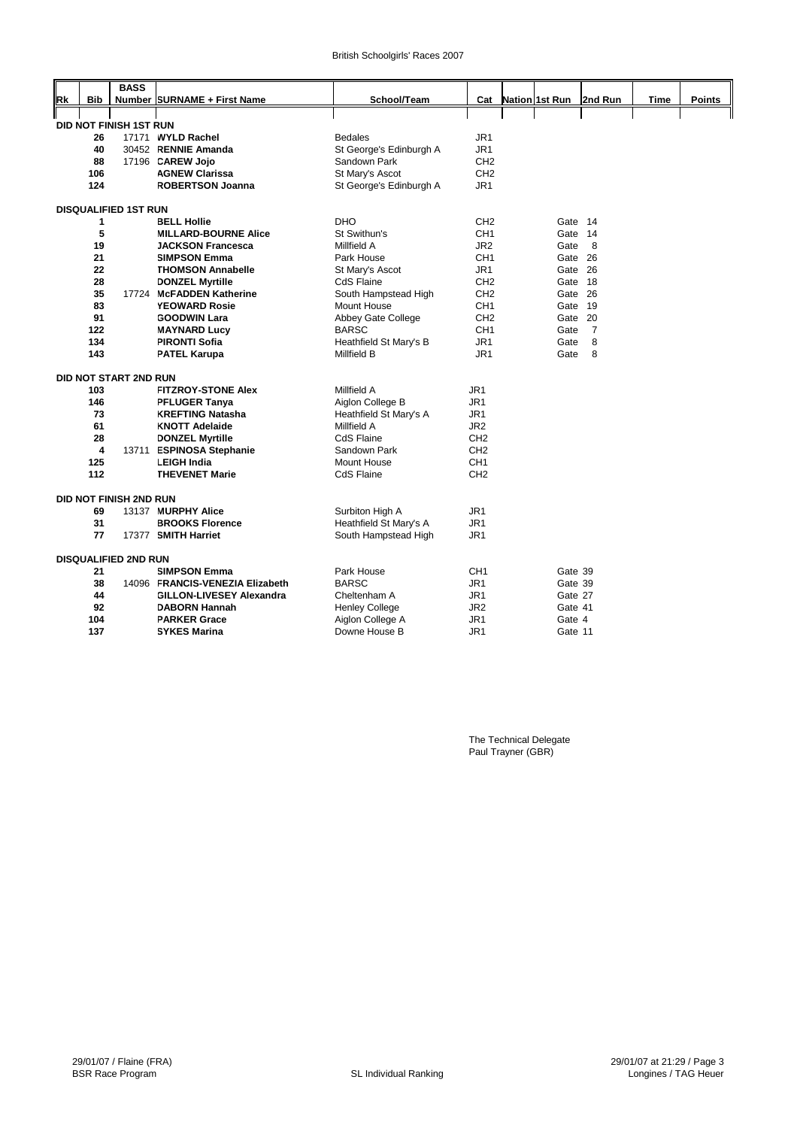|    |     | <b>BASS</b>                   |                                                 |                                       |                 |                |         |                |      |               |
|----|-----|-------------------------------|-------------------------------------------------|---------------------------------------|-----------------|----------------|---------|----------------|------|---------------|
| Rk | Bib |                               | Number SURNAME + First Name                     | School/Team                           | Cat             | Nation 1st Run |         | 2nd Run        | Time | <b>Points</b> |
|    |     |                               |                                                 |                                       |                 |                |         |                |      |               |
|    |     |                               |                                                 |                                       |                 |                |         |                |      |               |
|    |     | DID NOT FINISH 1ST RUN        |                                                 |                                       |                 |                |         |                |      |               |
|    | 26  |                               | 17171 WYLD Rachel                               | <b>Bedales</b>                        | JR <sub>1</sub> |                |         |                |      |               |
|    | 40  |                               | 30452 RENNIE Amanda                             | St George's Edinburgh A               | JR <sub>1</sub> |                |         |                |      |               |
|    | 88  |                               | 17196 CAREW Jojo                                | Sandown Park                          | CH <sub>2</sub> |                |         |                |      |               |
|    | 106 |                               | <b>AGNEW Clarissa</b>                           | St Mary's Ascot                       | CH <sub>2</sub> |                |         |                |      |               |
|    | 124 |                               | <b>ROBERTSON Joanna</b>                         | St George's Edinburgh A               | JR1             |                |         |                |      |               |
|    |     | <b>DISQUALIFIED 1ST RUN</b>   |                                                 |                                       |                 |                |         |                |      |               |
|    | 1   |                               |                                                 | <b>DHO</b>                            | CH <sub>2</sub> |                |         |                |      |               |
|    |     |                               | <b>BELL Hollie</b>                              |                                       |                 |                | Gate    | 14             |      |               |
|    | 5   |                               | <b>MILLARD-BOURNE Alice</b>                     | St Swithun's                          | CH <sub>1</sub> |                | Gate 14 |                |      |               |
|    | 19  |                               | <b>JACKSON Francesca</b>                        | Millfield A                           | JR <sub>2</sub> |                | Gate    | 8              |      |               |
|    | 21  |                               | <b>SIMPSON Emma</b>                             | Park House                            | CH <sub>1</sub> |                | Gate 26 |                |      |               |
|    | 22  |                               | <b>THOMSON Annabelle</b>                        | St Mary's Ascot                       | JR1             |                | Gate 26 |                |      |               |
|    | 28  |                               | <b>DONZEL Myrtille</b>                          | <b>CdS Flaine</b>                     | CH <sub>2</sub> |                | Gate    | -18            |      |               |
|    | 35  |                               | 17724 McFADDEN Katherine                        | South Hampstead High                  | CH <sub>2</sub> |                | Gate 26 |                |      |               |
|    | 83  |                               | <b>YEOWARD Rosie</b>                            | Mount House                           | CH <sub>1</sub> |                | Gate    | 19             |      |               |
|    | 91  |                               | <b>GOODWIN Lara</b>                             | Abbey Gate College                    | CH <sub>2</sub> |                | Gate    | 20             |      |               |
|    | 122 |                               | <b>MAYNARD Lucy</b>                             | <b>BARSC</b>                          | CH <sub>1</sub> |                | Gate    | $\overline{7}$ |      |               |
|    | 134 |                               | <b>PIRONTI Sofia</b>                            | Heathfield St Mary's B                | JR1             |                | Gate    | 8              |      |               |
|    | 143 |                               | <b>PATEL Karupa</b>                             | <b>Millfield B</b>                    | JR <sub>1</sub> |                | Gate    | 8              |      |               |
|    |     | DID NOT START 2ND RUN         |                                                 |                                       |                 |                |         |                |      |               |
|    | 103 |                               | <b>FITZROY-STONE Alex</b>                       | Millfield A                           | JR <sub>1</sub> |                |         |                |      |               |
|    | 146 |                               |                                                 |                                       | JR <sub>1</sub> |                |         |                |      |               |
|    | 73  |                               | <b>PFLUGER Tanya</b><br><b>KREFTING Natasha</b> | Aiglon College B                      | JR1             |                |         |                |      |               |
|    | 61  |                               | <b>KNOTT Adelaide</b>                           | Heathfield St Mary's A<br>Millfield A | JR <sub>2</sub> |                |         |                |      |               |
|    | 28  |                               | <b>DONZEL Myrtille</b>                          | CdS Flaine                            | CH <sub>2</sub> |                |         |                |      |               |
|    | 4   |                               |                                                 |                                       | CH <sub>2</sub> |                |         |                |      |               |
|    | 125 |                               | 13711 ESPINOSA Stephanie<br><b>LEIGH India</b>  | Sandown Park<br><b>Mount House</b>    | CH <sub>1</sub> |                |         |                |      |               |
|    |     |                               |                                                 |                                       |                 |                |         |                |      |               |
|    | 112 |                               | <b>THEVENET Marie</b>                           | <b>CdS Flaine</b>                     | CH <sub>2</sub> |                |         |                |      |               |
|    |     | <b>DID NOT FINISH 2ND RUN</b> |                                                 |                                       |                 |                |         |                |      |               |
|    | 69  |                               | 13137 MURPHY Alice                              | Surbiton High A                       | JR1             |                |         |                |      |               |
|    | 31  |                               | <b>BROOKS Florence</b>                          | Heathfield St Mary's A                | JR <sub>1</sub> |                |         |                |      |               |
|    | 77  |                               | 17377 SMITH Harriet                             | South Hampstead High                  | JR <sub>1</sub> |                |         |                |      |               |
|    |     |                               |                                                 |                                       |                 |                |         |                |      |               |
|    |     | <b>DISQUALIFIED 2ND RUN</b>   |                                                 |                                       |                 |                |         |                |      |               |
|    | 21  |                               | <b>SIMPSON Emma</b>                             | Park House                            | CH <sub>1</sub> |                | Gate 39 |                |      |               |
|    | 38  |                               | 14096 FRANCIS-VENEZIA Elizabeth                 | <b>BARSC</b>                          | JR1             |                | Gate 39 |                |      |               |
|    | 44  |                               | <b>GILLON-LIVESEY Alexandra</b>                 | Cheltenham A                          | JR1             |                | Gate 27 |                |      |               |
|    | 92  |                               | <b>DABORN Hannah</b>                            | <b>Henley College</b>                 | JR <sub>2</sub> |                | Gate 41 |                |      |               |
|    | 104 |                               | <b>PARKER Grace</b>                             | Aiglon College A                      | JR1             |                | Gate 4  |                |      |               |
|    | 137 |                               | <b>SYKES Marina</b>                             | Downe House B                         | JR1             |                | Gate 11 |                |      |               |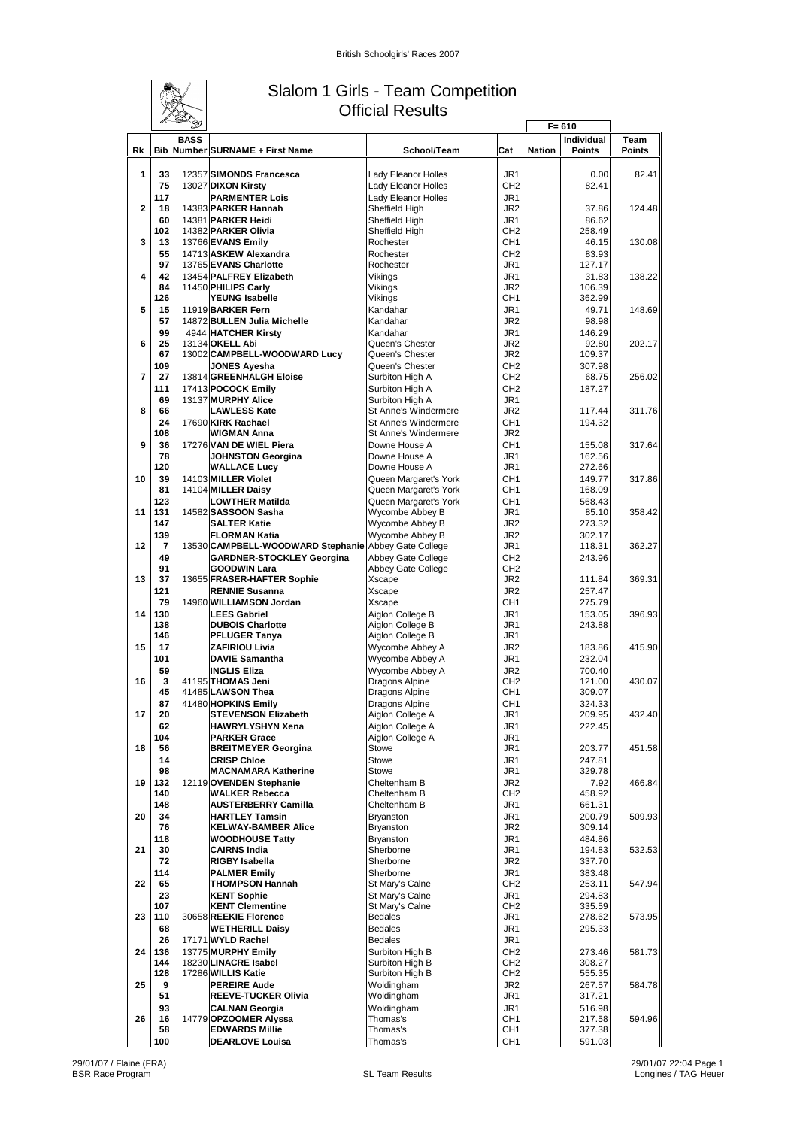

### Slalom 1 Girls - Team Competition Official Results

|                | L S                  | Ð           |                                                                                          |                                                |                                    | $F = 610$     |                             |                       |
|----------------|----------------------|-------------|------------------------------------------------------------------------------------------|------------------------------------------------|------------------------------------|---------------|-----------------------------|-----------------------|
| Rk             |                      | <b>BASS</b> | <b>Bib Number SURNAME + First Name</b>                                                   | School/Team                                    | Cat                                | <b>Nation</b> | Individual<br><b>Points</b> | Team<br><b>Points</b> |
| 1              | 33<br>75             |             | 12357 SIMONDS Francesca<br>13027 DIXON Kirsty                                            | Lady Eleanor Holles<br>Lady Eleanor Holles     | JR1<br>CH <sub>2</sub>             |               | 0.00<br>82.41               | 82.41                 |
| $\overline{2}$ | 117<br>18            |             | <b>PARMENTER Lois</b><br>14383 PARKER Hannah                                             | Lady Eleanor Holles<br>Sheffield High          | JR <sub>1</sub><br>JR2             |               | 37.86                       | 124.48                |
|                | 60<br>102            |             | 14381 PARKER Heidi<br>14382 PARKER Olivia                                                | Sheffield High<br>Sheffield High               | JR <sub>1</sub><br>CH <sub>2</sub> |               | 86.62<br>258.49             |                       |
| 3              | 13<br>55             |             | 13766 EVANS Emily<br>14713 ASKEW Alexandra                                               | Rochester<br>Rochester                         | CH <sub>1</sub><br>CH <sub>2</sub> |               | 46.15<br>83.93              | 130.08                |
| 4              | 97<br>42             |             | 13765 EVANS Charlotte<br>13454 PALFREY Elizabeth                                         | Rochester<br>Vikings                           | JR1<br>JR <sub>1</sub>             |               | 127.17<br>31.83             | 138.22                |
|                | 84<br>126            |             | 11450 PHILIPS Carly<br><b>YEUNG Isabelle</b>                                             | Vikings<br>Vikings                             | JR <sub>2</sub><br>CH <sub>1</sub> |               | 106.39<br>362.99            |                       |
| 5              | 15<br>57             |             | 11919 BARKER Fern<br>14872 BULLEN Julia Michelle                                         | Kandahar<br>Kandahar                           | JR <sub>1</sub><br>JR <sub>2</sub> |               | 49.71<br>98.98              | 148.69                |
| 6              | 99<br>25             |             | 4944 HATCHER Kirsty<br>13134 OKELL Abi                                                   | Kandahar<br>Queen's Chester                    | JR <sub>1</sub><br>JR <sub>2</sub> |               | 146.29<br>92.80             | 202.17                |
|                | 67<br>109            |             | 13002 CAMPBELL-WOODWARD Lucy<br><b>JONES Ayesha</b>                                      | Queen's Chester<br>Queen's Chester             | JR2<br>CH <sub>2</sub>             |               | 109.37<br>307.98            |                       |
| $\overline{7}$ | 27                   |             | 13814 GREENHALGH Eloise                                                                  | Surbiton High A                                | CH <sub>2</sub>                    |               | 68.75                       | 256.02                |
| 8              | 111<br>69<br>66      |             | 17413 POCOCK Emily<br>13137 MURPHY Alice                                                 | Surbiton High A<br>Surbiton High A             | CH <sub>2</sub><br>JR1             |               | 187.27                      |                       |
|                | 24                   |             | LAWLESS Kate<br>17690 KIRK Rachael                                                       | St Anne's Windermere<br>St Anne's Windermere   | JR <sub>2</sub><br>CH <sub>1</sub> |               | 117.44<br>194.32            | 311.76                |
| 9              | 108<br>36            |             | <b>WIGMAN Anna</b><br>17276 VAN DE WIEL Piera                                            | St Anne's Windermere<br>Downe House A          | JR <sub>2</sub><br>CH <sub>1</sub> |               | 155.08                      | 317.64                |
|                | 78<br>120            |             | <b>JOHNSTON Georgina</b><br><b>WALLACE Lucy</b>                                          | Downe House A<br>Downe House A                 | JR <sub>1</sub><br>JR1             |               | 162.56<br>272.66            |                       |
| 10             | 39<br>81             |             | 14103 MILLER Violet<br>14104 MILLER Daisy                                                | Queen Margaret's York<br>Queen Margaret's York | CH <sub>1</sub><br>CH <sub>1</sub> |               | 149.77<br>168.09            | 317.86                |
| 11             | 123<br>131           |             | <b>LOWTHER Matilda</b><br>14582 SASSOON Sasha                                            | Queen Margaret's York<br>Wycombe Abbey B       | CH <sub>1</sub><br>JR <sub>1</sub> |               | 568.43<br>85.10             | 358.42                |
|                | 147<br>139           |             | <b>SALTER Katie</b><br><b>FLORMAN Katia</b>                                              | Wycombe Abbey B<br>Wycombe Abbey B             | JR <sub>2</sub><br>JR <sub>2</sub> |               | 273.32<br>302.17            |                       |
| 12             | $\overline{7}$<br>49 |             | 13530 CAMPBELL-WOODWARD Stephanie Abbey Gate College<br><b>GARDNER-STOCKLEY Georgina</b> | <b>Abbey Gate College</b>                      | JR1<br>CH <sub>2</sub>             |               | 118.31<br>243.96            | 362.27                |
| 13             | 91<br>37             |             | <b>GOODWIN Lara</b><br>13655 FRASER-HAFTER Sophie                                        | Abbey Gate College<br>Xscape                   | CH <sub>2</sub><br>JR2             |               | 111.84                      | 369.31                |
|                | 121<br>79            |             | <b>RENNIE Susanna</b><br>14960 WILLIAMSON Jordan                                         | Xscape<br>Xscape                               | JR <sub>2</sub><br>CH <sub>1</sub> |               | 257.47<br>275.79            |                       |
| 14             | 130<br>138           |             | <b>LEES Gabriel</b><br><b>DUBOIS Charlotte</b>                                           | Aiglon College B<br>Aiglon College B           | JR <sub>1</sub><br>JR1             |               | 153.05<br>243.88            | 396.93                |
|                | 146                  |             | <b>PFLUGER Tanya</b>                                                                     | Aiglon College B                               | JR1                                |               |                             |                       |
| 15             | 17<br>101            |             | <b>ZAFIRIOU Livia</b><br><b>DAVIE Samantha</b>                                           | Wycombe Abbey A<br>Wycombe Abbey A             | JR <sub>2</sub><br>JR1             |               | 183.86<br>232.04            | 415.90                |
| 16             | 59<br>3              |             | <b>INGLIS Eliza</b><br>41195 THOMAS Jeni                                                 | Wycombe Abbey A<br>Dragons Alpine              | JR <sub>2</sub><br>CH <sub>2</sub> |               | 700.40<br>121.00            | 430.07                |
|                | 45<br>87             |             | 41485 LAWSON Thea<br>41480 HOPKINS Emily                                                 | Dragons Alpine<br>Dragons Alpine               | CH <sub>1</sub><br>CH <sub>1</sub> |               | 309.07<br>324.33            |                       |
| 17             | 20<br>62             |             | <b>STEVENSON Elizabeth</b><br><b>HAWRYLYSHYN Xena</b>                                    | Aiglon College A<br>Aiglon College A           | JR1<br>JR1                         |               | 209.95<br>222.45            | 432.40                |
| 18             | 104<br>56            |             | <b>PARKER Grace</b><br><b>BREITMEYER Georgina</b>                                        | Aiglon College A<br>Stowe                      | JR1<br>JR1                         |               | 203.77                      | 451.58                |
|                | 14<br>98             |             | <b>CRISP Chloe</b><br><b>MACNAMARA Katherine</b>                                         | Stowe<br><b>Stowe</b>                          | JR1<br>JR1                         |               | 247.81<br>329.78            |                       |
| 19             | 132<br>140           |             | 12119 OVENDEN Stephanie<br><b>WALKER Rebecca</b>                                         | Cheltenham B<br>Cheltenham B                   | JR2<br>CH <sub>2</sub>             |               | 7.92<br>458.92              | 466.84                |
| 20             | 148<br>34            |             | <b>AUSTERBERRY Camilla</b><br><b>HARTLEY Tamsin</b>                                      | Cheltenham B<br>Bryanston                      | JR1<br>JR1                         |               | 661.31<br>200.79            | 509.93                |
|                | 76<br>118            |             | <b>KELWAY-BAMBER Alice</b><br><b>WOODHOUSE Tatty</b>                                     | Bryanston<br><b>Bryanston</b>                  | JR <sub>2</sub><br>JR1             |               | 309.14<br>484.86            |                       |
| 21             | 30<br>72             |             | <b>CAIRNS India</b><br>RIGBY Isabella                                                    | Sherborne<br>Sherborne                         | JR1<br>JR2                         |               | 194.83<br>337.70            | 532.53                |
|                | 114                  |             | <b>PALMER Emily</b>                                                                      | Sherborne                                      | JR1                                |               | 383.48                      |                       |
| 22             | 65<br>23             |             | <b>THOMPSON Hannah</b><br><b>KENT Sophie</b>                                             | St Mary's Calne<br>St Mary's Calne             | CH <sub>2</sub><br>JR1             |               | 253.11<br>294.83            | 547.94                |
| 23             | 107<br>110           |             | <b>KENT Clementine</b><br>30658 REEKIE Florence                                          | St Mary's Calne<br><b>Bedales</b>              | CH <sub>2</sub><br>JR1             |               | 335.59<br>278.62            | 573.95                |
|                | 68<br>26             |             | <b>WETHERILL Daisy</b><br>17171 WYLD Rachel                                              | <b>Bedales</b><br><b>Bedales</b>               | JR1<br>JR1                         |               | 295.33                      |                       |
| 24             | 136<br>144           |             | 13775 MURPHY Emily<br>18230 LINACRE Isabel                                               | Surbiton High B<br>Surbiton High B             | CH <sub>2</sub><br>CH <sub>2</sub> |               | 273.46<br>308.27            | 581.73                |
| 25             | 128<br>9             |             | 17286 WILLIS Katie<br><b>PEREIRE Aude</b>                                                | Surbiton High B<br>Woldingham                  | CH <sub>2</sub><br>JR <sub>2</sub> |               | 555.35<br>267.57            | 584.78                |
|                | 51<br>93             |             | <b>REEVE-TUCKER Olivia</b><br><b>CALNAN Georgia</b>                                      | Woldingham<br>Woldingham                       | JR1<br>JR1                         |               | 317.21<br>516.98            |                       |
| 26             | 16<br>58             |             | 14779 OPZOOMER Alyssa<br><b>EDWARDS Millie</b>                                           | Thomas's<br>Thomas's                           | CH <sub>1</sub><br>CH1             |               | 217.58<br>377.38            | 594.96                |
|                | 100                  |             | <b>DEARLOVE Louisa</b>                                                                   | Thomas's                                       | CH <sub>1</sub>                    |               | 591.03                      |                       |